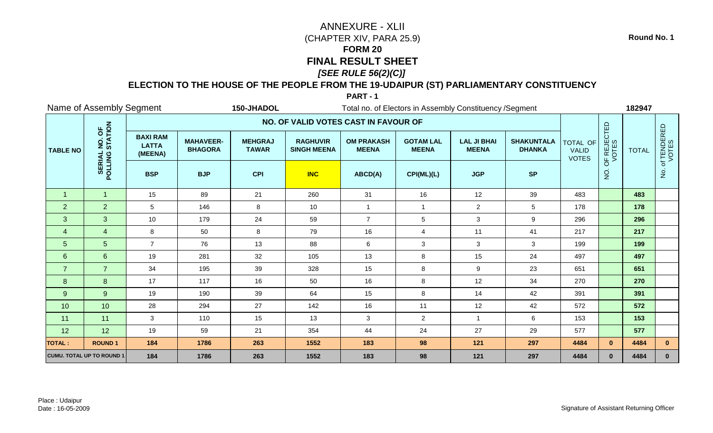## **ELECTION TO THE HOUSE OF THE PEOPLE FROM THE 19-UDAIPUR (ST) PARLIAMENTARY CONSTITUENCY**

**PART - 1**

|                 | Name of Assembly Segment<br>150-JHADOL<br>Total no. of Electors in Assembly Constituency / Segment |                                            |                                    |                                |                                       |                                   |                                  |                                    |                                    |                                          |                      | 182947       |                        |
|-----------------|----------------------------------------------------------------------------------------------------|--------------------------------------------|------------------------------------|--------------------------------|---------------------------------------|-----------------------------------|----------------------------------|------------------------------------|------------------------------------|------------------------------------------|----------------------|--------------|------------------------|
|                 |                                                                                                    |                                            |                                    |                                | NO. OF VALID VOTES CAST IN FAVOUR OF  |                                   |                                  |                                    |                                    |                                          |                      |              |                        |
| <b>TABLE NO</b> | NO. OF<br>STATION                                                                                  | <b>BAXI RAM</b><br><b>LATTA</b><br>(MEENA) | <b>MAHAVEER-</b><br><b>BHAGORA</b> | <b>MEHGRAJ</b><br><b>TAWAR</b> | <b>RAGHUVIR</b><br><b>SINGH MEENA</b> | <b>OM PRAKASH</b><br><b>MEENA</b> | <b>GOTAM LAL</b><br><b>MEENA</b> | <b>LAL JI BHAI</b><br><b>MEENA</b> | <b>SHAKUNTALA</b><br><b>DHANKA</b> | TOTAL OF<br><b>VALID</b><br><b>VOTES</b> | OF REJECTED<br>VOTES | <b>TOTAL</b> | . of TENDERED<br>VOTES |
|                 | POLLING                                                                                            | <b>BSP</b>                                 | <b>BJP</b>                         | <b>CPI</b>                     | <b>INC</b>                            | ABCD(A)                           | CPI(ML)(L)                       | <b>JGP</b>                         | <b>SP</b>                          |                                          | $\frac{1}{2}$        |              | $\frac{1}{2}$          |
| $\overline{1}$  | $\overline{1}$                                                                                     | 15                                         | 89                                 | 21                             | 260                                   | 31                                | 16                               | 12                                 | 39                                 | 483                                      |                      | 483          |                        |
| 2               | 2                                                                                                  | 5                                          | 146                                | 8                              | 10                                    | $\mathbf{1}$                      | $\overline{1}$                   | $\overline{2}$                     | 5                                  | 178                                      |                      | 178          |                        |
| 3               | 3                                                                                                  | 10                                         | 179                                | 24                             | 59                                    | $\overline{7}$                    | $\sqrt{5}$                       | $\mathbf{3}$                       | $\boldsymbol{9}$                   | 296                                      |                      | 296          |                        |
| $\overline{4}$  | $\overline{4}$                                                                                     | 8                                          | 50                                 | 8                              | 79                                    | 16                                | $\overline{4}$                   | 11                                 | 41                                 | 217                                      |                      | 217          |                        |
| 5 <sub>5</sub>  | $5\phantom{.}$                                                                                     | $\overline{7}$                             | 76                                 | 13                             | 88                                    | 6                                 | $\mathbf{3}$                     | 3                                  | $\mathbf{3}$                       | 199                                      |                      | 199          |                        |
| 6               | $6\overline{6}$                                                                                    | 19                                         | 281                                | 32                             | 105                                   | 13                                | 8                                | 15                                 | 24                                 | 497                                      |                      | 497          |                        |
| $\overline{7}$  | $\overline{7}$                                                                                     | 34                                         | 195                                | 39                             | 328                                   | 15                                | $\bf 8$                          | $\boldsymbol{9}$                   | 23                                 | 651                                      |                      | 651          |                        |
| 8               | 8                                                                                                  | 17                                         | 117                                | 16                             | 50                                    | 16                                | $\, 8$                           | 12                                 | 34                                 | 270                                      |                      | 270          |                        |
| 9               | 9                                                                                                  | 19                                         | 190                                | 39                             | 64                                    | 15                                | 8                                | 14                                 | 42                                 | 391                                      |                      | 391          |                        |
| 10              | 10                                                                                                 | 28                                         | 294                                | 27                             | 142                                   | 16                                | 11                               | 12                                 | 42                                 | 572                                      |                      | 572          |                        |
| 11              | 11                                                                                                 | $\mathbf{3}$                               | 110                                | 15                             | 13                                    | $\mathbf{3}$                      | $\overline{c}$                   | $\mathbf{1}$                       | $\,6\,$                            | 153                                      |                      | 153          |                        |
| 12              | 12                                                                                                 | 19                                         | 59                                 | 21                             | 354                                   | 44                                | 24                               | 27                                 | 29                                 | 577                                      |                      | 577          |                        |
| <b>TOTAL:</b>   | <b>ROUND1</b>                                                                                      | 184                                        | 1786                               | 263                            | 1552                                  | 183                               | 98                               | 121                                | 297                                | 4484                                     | $\mathbf{0}$         | 4484         | $\mathbf{0}$           |
|                 | <b>CUMU. TOTAL UP TO ROUND 1</b>                                                                   | 184                                        | 1786                               | 263                            | 1552                                  | 183                               | 98                               | 121                                | 297                                | 4484                                     | $\mathbf{0}$         | 4484         | $\mathbf{0}$           |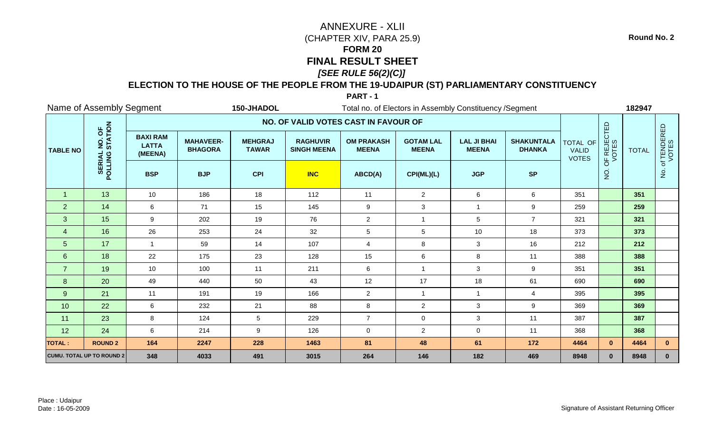## **ELECTION TO THE HOUSE OF THE PEOPLE FROM THE 19-UDAIPUR (ST) PARLIAMENTARY CONSTITUENCY**

**PART - 1**

|                 | Name of Assembly Segment<br>150-JHADOL<br>Total no. of Electors in Assembly Constituency / Segment |                                            |                                    |                                |                                       |                                   |                                  |                                    |                                    |                                          |                      | 182947       |                      |
|-----------------|----------------------------------------------------------------------------------------------------|--------------------------------------------|------------------------------------|--------------------------------|---------------------------------------|-----------------------------------|----------------------------------|------------------------------------|------------------------------------|------------------------------------------|----------------------|--------------|----------------------|
|                 |                                                                                                    |                                            |                                    |                                | NO. OF VALID VOTES CAST IN FAVOUR OF  |                                   |                                  |                                    |                                    |                                          |                      |              |                      |
| <b>TABLE NO</b> | NO. OF<br>STATION                                                                                  | <b>BAXI RAM</b><br><b>LATTA</b><br>(MEENA) | <b>MAHAVEER-</b><br><b>BHAGORA</b> | <b>MEHGRAJ</b><br><b>TAWAR</b> | <b>RAGHUVIR</b><br><b>SINGH MEENA</b> | <b>OM PRAKASH</b><br><b>MEENA</b> | <b>GOTAM LAL</b><br><b>MEENA</b> | <b>LAL JI BHAI</b><br><b>MEENA</b> | <b>SHAKUNTALA</b><br><b>DHANKA</b> | TOTAL OF<br><b>VALID</b><br><b>VOTES</b> | OF REJECTED<br>VOTES | <b>TOTAL</b> | of TENDERED<br>VOTES |
|                 | POLLING                                                                                            | <b>BSP</b>                                 | <b>BJP</b>                         | <b>CPI</b>                     | <b>INC</b>                            | ABCD(A)                           | CPI(ML)(L)                       | <b>JGP</b>                         | <b>SP</b>                          |                                          | $\overline{5}$       |              | $\dot{q}$            |
| $\mathbf{1}$    | 13                                                                                                 | 10                                         | 186                                | 18                             | 112                                   | 11                                | 2                                | 6                                  | 6                                  | 351                                      |                      | 351          |                      |
| 2               | 14                                                                                                 | 6                                          | 71                                 | 15                             | 145                                   | $\boldsymbol{9}$                  | $\mathbf{3}$                     | $\overline{1}$                     | 9                                  | 259                                      |                      | 259          |                      |
| 3               | 15                                                                                                 | 9                                          | 202                                | 19                             | 76                                    | $\overline{2}$                    | $\overline{1}$                   | 5                                  | $\overline{7}$                     | 321                                      |                      | 321          |                      |
| $\overline{4}$  | 16                                                                                                 | 26                                         | 253                                | 24                             | 32                                    | $5\phantom{.0}$                   | 5                                | 10                                 | 18                                 | 373                                      |                      | 373          |                      |
| 5 <sub>5</sub>  | 17                                                                                                 | $\overline{1}$                             | 59                                 | 14                             | 107                                   | 4                                 | 8                                | 3                                  | 16                                 | 212                                      |                      | 212          |                      |
| $6\phantom{1}$  | 18                                                                                                 | 22                                         | 175                                | 23                             | 128                                   | 15                                | $\,6$                            | 8                                  | 11                                 | 388                                      |                      | 388          |                      |
| $\overline{7}$  | 19                                                                                                 | 10                                         | 100                                | 11                             | 211                                   | 6                                 | $\overline{1}$                   | 3                                  | $\boldsymbol{9}$                   | 351                                      |                      | 351          |                      |
| 8               | 20                                                                                                 | 49                                         | 440                                | 50                             | 43                                    | 12                                | 17                               | 18                                 | 61                                 | 690                                      |                      | 690          |                      |
| 9               | 21                                                                                                 | 11                                         | 191                                | 19                             | 166                                   | $\overline{2}$                    | $\overline{1}$                   |                                    | $\overline{4}$                     | 395                                      |                      | 395          |                      |
| 10              | 22                                                                                                 | 6                                          | 232                                | 21                             | 88                                    | 8                                 | $\overline{2}$                   | $\mathbf{3}$                       | 9                                  | 369                                      |                      | 369          |                      |
| 11              | 23                                                                                                 | 8                                          | 124                                | $5\phantom{.0}$                | 229                                   | $\overline{7}$                    | $\pmb{0}$                        | 3                                  | 11                                 | 387                                      |                      | 387          |                      |
| 12              | 24                                                                                                 | 6                                          | 214                                | 9                              | 126                                   | $\pmb{0}$                         | $\overline{2}$                   | $\mathbf 0$                        | 11                                 | 368                                      |                      | 368          |                      |
| <b>TOTAL:</b>   | <b>ROUND 2</b>                                                                                     | 164                                        | 2247                               | 228                            | 1463                                  | 81                                | 48                               | 61                                 | 172                                | 4464                                     | $\mathbf{0}$         | 4464         | $\mathbf{0}$         |
|                 | <b>CUMU. TOTAL UP TO ROUND 2</b>                                                                   | 348                                        | 4033                               | 491                            | 3015                                  | 264                               | 146                              | 182                                | 469                                | 8948                                     | $\mathbf{0}$         | 8948         | $\mathbf{0}$         |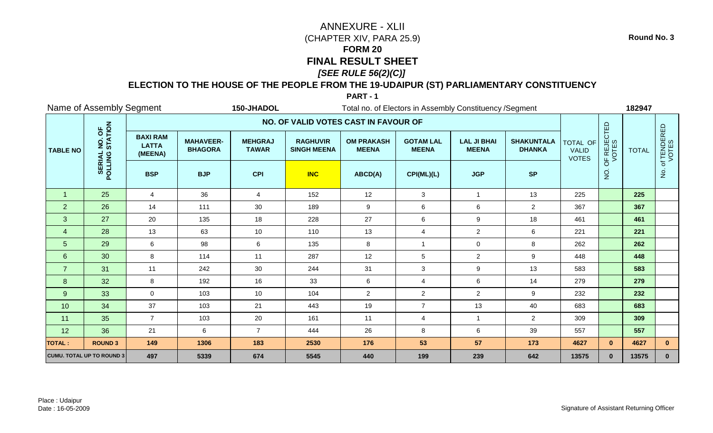## **ELECTION TO THE HOUSE OF THE PEOPLE FROM THE 19-UDAIPUR (ST) PARLIAMENTARY CONSTITUENCY**

**PART - 1**

|                 | Name of Assembly Segment<br>150-JHADOL<br>Total no. of Electors in Assembly Constituency / Segment |                                            |                                    |                                |                                       |                                   |                                  |                                    |                                    |                                          |                      | 182947       |                      |
|-----------------|----------------------------------------------------------------------------------------------------|--------------------------------------------|------------------------------------|--------------------------------|---------------------------------------|-----------------------------------|----------------------------------|------------------------------------|------------------------------------|------------------------------------------|----------------------|--------------|----------------------|
|                 |                                                                                                    |                                            |                                    |                                | NO. OF VALID VOTES CAST IN FAVOUR OF  |                                   |                                  |                                    |                                    |                                          |                      |              |                      |
| <b>TABLE NO</b> | NO. OF<br>STATION                                                                                  | <b>BAXI RAM</b><br><b>LATTA</b><br>(MEENA) | <b>MAHAVEER-</b><br><b>BHAGORA</b> | <b>MEHGRAJ</b><br><b>TAWAR</b> | <b>RAGHUVIR</b><br><b>SINGH MEENA</b> | <b>OM PRAKASH</b><br><b>MEENA</b> | <b>GOTAM LAL</b><br><b>MEENA</b> | <b>LAL JI BHAI</b><br><b>MEENA</b> | <b>SHAKUNTALA</b><br><b>DHANKA</b> | TOTAL OF<br><b>VALID</b><br><b>VOTES</b> | OF REJECTED<br>VOTES | <b>TOTAL</b> | of TENDERED<br>VOTES |
|                 | POLLING                                                                                            | <b>BSP</b>                                 | <b>BJP</b>                         | <b>CPI</b>                     | <b>INC</b>                            | ABCD(A)                           | CPI(ML)(L)                       | <b>JGP</b>                         | <b>SP</b>                          |                                          | $\overline{5}$       |              | $\dot{q}$            |
| $\mathbf{1}$    | 25                                                                                                 | $\overline{4}$                             | 36                                 | 4                              | 152                                   | 12                                | 3                                | $\overline{1}$                     | 13                                 | 225                                      |                      | 225          |                      |
| 2               | 26                                                                                                 | 14                                         | 111                                | 30                             | 189                                   | 9                                 | $\,6$                            | $\,6\,$                            | $\overline{2}$                     | 367                                      |                      | 367          |                      |
| 3               | 27                                                                                                 | 20                                         | 135                                | 18                             | 228                                   | 27                                | 6                                | $\boldsymbol{9}$                   | 18                                 | 461                                      |                      | 461          |                      |
| $\overline{4}$  | 28                                                                                                 | 13                                         | 63                                 | 10                             | 110                                   | 13                                | $\overline{4}$                   | $\overline{2}$                     | 6                                  | 221                                      |                      | 221          |                      |
| 5 <sub>5</sub>  | 29                                                                                                 | $6\phantom{.}6$                            | 98                                 | 6                              | 135                                   | 8                                 | $\overline{1}$                   | $\mathbf 0$                        | 8                                  | 262                                      |                      | 262          |                      |
| $6\phantom{1}$  | 30                                                                                                 | 8                                          | 114                                | 11                             | 287                                   | 12                                | $\sqrt{5}$                       | $\overline{2}$                     | 9                                  | 448                                      |                      | 448          |                      |
| $\overline{7}$  | 31                                                                                                 | 11                                         | 242                                | 30                             | 244                                   | 31                                | $\mathbf{3}$                     | $\boldsymbol{9}$                   | 13                                 | 583                                      |                      | 583          |                      |
| 8               | 32                                                                                                 | 8                                          | 192                                | 16                             | 33                                    | 6                                 | $\overline{4}$                   | $\,6\,$                            | 14                                 | 279                                      |                      | 279          |                      |
| 9               | 33                                                                                                 | $\mathbf 0$                                | 103                                | 10                             | 104                                   | $\overline{2}$                    | $\overline{2}$                   | $\overline{2}$                     | 9                                  | 232                                      |                      | 232          |                      |
| 10              | 34                                                                                                 | 37                                         | 103                                | 21                             | 443                                   | 19                                | $\overline{7}$                   | 13                                 | 40                                 | 683                                      |                      | 683          |                      |
| 11              | 35                                                                                                 | $\overline{7}$                             | 103                                | 20                             | 161                                   | 11                                | $\overline{4}$                   |                                    | $\overline{2}$                     | 309                                      |                      | 309          |                      |
| 12              | 36                                                                                                 | 21                                         | 6                                  | $\overline{7}$                 | 444                                   | 26                                | $\, 8$                           | $\,6$                              | 39                                 | 557                                      |                      | 557          |                      |
| <b>TOTAL:</b>   | <b>ROUND 3</b>                                                                                     | 149                                        | 1306                               | 183                            | 2530                                  | 176                               | 53                               | 57                                 | 173                                | 4627                                     | $\mathbf{0}$         | 4627         | $\mathbf{0}$         |
|                 | <b>CUMU. TOTAL UP TO ROUND 3</b>                                                                   | 497                                        | 5339                               | 674                            | 5545                                  | 440                               | 199                              | 239                                | 642                                | 13575                                    | $\mathbf{0}$         | 13575        | $\mathbf{0}$         |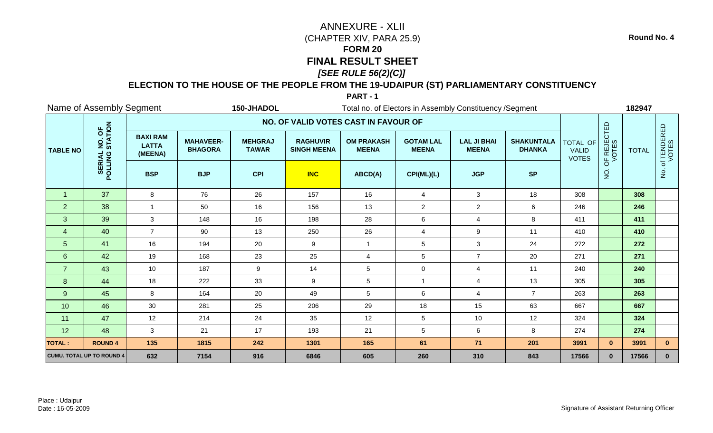## **ELECTION TO THE HOUSE OF THE PEOPLE FROM THE 19-UDAIPUR (ST) PARLIAMENTARY CONSTITUENCY**

**PART - 1**

|                 | Name of Assembly Segment<br>150-JHADOL<br>Total no. of Electors in Assembly Constituency / Segment |                                            |                                    |                                |                                       |                                   |                                  |                                    |                                    |                                          | 182947               |              |                      |
|-----------------|----------------------------------------------------------------------------------------------------|--------------------------------------------|------------------------------------|--------------------------------|---------------------------------------|-----------------------------------|----------------------------------|------------------------------------|------------------------------------|------------------------------------------|----------------------|--------------|----------------------|
|                 |                                                                                                    |                                            |                                    |                                | NO. OF VALID VOTES CAST IN FAVOUR OF  |                                   |                                  |                                    |                                    |                                          |                      |              |                      |
| <b>TABLE NO</b> | NO. OF<br>STATION                                                                                  | <b>BAXI RAM</b><br><b>LATTA</b><br>(MEENA) | <b>MAHAVEER-</b><br><b>BHAGORA</b> | <b>MEHGRAJ</b><br><b>TAWAR</b> | <b>RAGHUVIR</b><br><b>SINGH MEENA</b> | <b>OM PRAKASH</b><br><b>MEENA</b> | <b>GOTAM LAL</b><br><b>MEENA</b> | <b>LAL JI BHAI</b><br><b>MEENA</b> | <b>SHAKUNTALA</b><br><b>DHANKA</b> | TOTAL OF<br><b>VALID</b><br><b>VOTES</b> | OF REJECTED<br>VOTES | <b>TOTAL</b> | of TENDERED<br>VOTES |
|                 | POLLING                                                                                            | <b>BSP</b>                                 | <b>BJP</b>                         | <b>CPI</b>                     | <b>INC</b>                            | ABCD(A)                           | CPI(ML)(L)                       | <b>JGP</b>                         | <b>SP</b>                          |                                          | $\overline{5}$       |              | $\dot{q}$            |
| $\overline{1}$  | 37                                                                                                 | 8                                          | 76                                 | 26                             | 157                                   | 16                                | $\overline{4}$                   | 3                                  | 18                                 | 308                                      |                      | 308          |                      |
| 2               | 38                                                                                                 | $\overline{1}$                             | 50                                 | 16                             | 156                                   | 13                                | $\overline{2}$                   | $\overline{a}$                     | $\,6\,$                            | 246                                      |                      | 246          |                      |
| 3               | 39                                                                                                 | 3                                          | 148                                | 16                             | 198                                   | 28                                | $\,6$                            | 4                                  | 8                                  | 411                                      |                      | 411          |                      |
| $\overline{4}$  | 40                                                                                                 | $\overline{7}$                             | 90                                 | 13                             | 250                                   | 26                                | $\overline{4}$                   | 9                                  | 11                                 | 410                                      |                      | 410          |                      |
| 5 <sub>5</sub>  | 41                                                                                                 | 16                                         | 194                                | 20                             | $\boldsymbol{9}$                      | $\mathbf{1}$                      | 5                                | $\mathbf{3}$                       | 24                                 | 272                                      |                      | 272          |                      |
| $6\phantom{1}$  | 42                                                                                                 | 19                                         | 168                                | 23                             | 25                                    | $\overline{\mathbf{4}}$           | $\sqrt{5}$                       | $\overline{7}$                     | 20                                 | 271                                      |                      | 271          |                      |
| $\overline{7}$  | 43                                                                                                 | 10                                         | 187                                | 9                              | 14                                    | $\sqrt{5}$                        | $\mathbf 0$                      | $\overline{4}$                     | 11                                 | 240                                      |                      | 240          |                      |
| 8               | 44                                                                                                 | 18                                         | 222                                | 33                             | 9                                     | $5\phantom{.0}$                   | $\overline{1}$                   | 4                                  | 13                                 | 305                                      |                      | 305          |                      |
| 9               | 45                                                                                                 | 8                                          | 164                                | 20                             | 49                                    | $5\phantom{.0}$                   | 6                                | $\overline{4}$                     | $\overline{7}$                     | 263                                      |                      | 263          |                      |
| 10              | 46                                                                                                 | 30                                         | 281                                | 25                             | 206                                   | 29                                | 18                               | 15                                 | 63                                 | 667                                      |                      | 667          |                      |
| 11              | 47                                                                                                 | 12                                         | 214                                | 24                             | 35                                    | 12                                | $\sqrt{5}$                       | 10                                 | 12                                 | 324                                      |                      | 324          |                      |
| 12              | 48                                                                                                 | $\mathbf{3}$                               | 21                                 | 17                             | 193                                   | 21                                | $\sqrt{5}$                       | $\,6\,$                            | 8                                  | 274                                      |                      | 274          |                      |
| <b>TOTAL:</b>   | <b>ROUND 4</b>                                                                                     | 135                                        | 1815                               | 242                            | 1301                                  | 165                               | 61                               | 71                                 | 201                                | 3991                                     | $\mathbf{0}$         | 3991         | $\mathbf{0}$         |
|                 | <b>CUMU. TOTAL UP TO ROUND 4</b>                                                                   | 632                                        | 7154                               | 916                            | 6846                                  | 605                               | 260                              | 310                                | 843                                | 17566                                    | $\mathbf{0}$         | 17566        | $\mathbf{0}$         |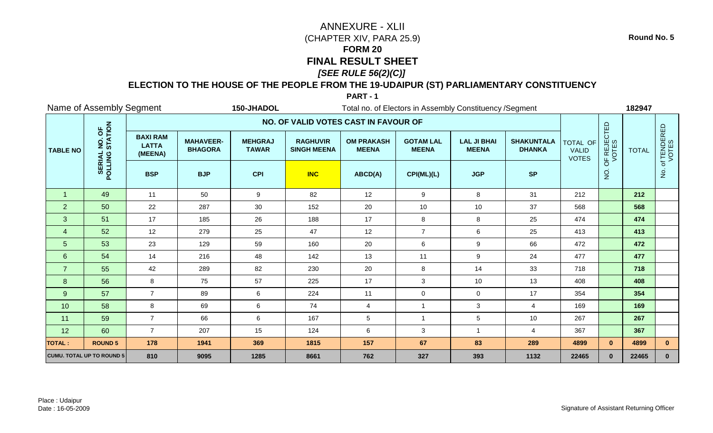## **ELECTION TO THE HOUSE OF THE PEOPLE FROM THE 19-UDAIPUR (ST) PARLIAMENTARY CONSTITUENCY**

**PART - 1**

|                 | Name of Assembly Segment<br>150-JHADOL<br>Total no. of Electors in Assembly Constituency / Segment |                                            |                                    |                                |                                       |                                   |                                  |                                    |                                    |                                          | 182947               |              |                      |
|-----------------|----------------------------------------------------------------------------------------------------|--------------------------------------------|------------------------------------|--------------------------------|---------------------------------------|-----------------------------------|----------------------------------|------------------------------------|------------------------------------|------------------------------------------|----------------------|--------------|----------------------|
|                 |                                                                                                    |                                            |                                    |                                | NO. OF VALID VOTES CAST IN FAVOUR OF  |                                   |                                  |                                    |                                    |                                          |                      |              |                      |
| <b>TABLE NO</b> | NO. OF<br>STATION                                                                                  | <b>BAXI RAM</b><br><b>LATTA</b><br>(MEENA) | <b>MAHAVEER-</b><br><b>BHAGORA</b> | <b>MEHGRAJ</b><br><b>TAWAR</b> | <b>RAGHUVIR</b><br><b>SINGH MEENA</b> | <b>OM PRAKASH</b><br><b>MEENA</b> | <b>GOTAM LAL</b><br><b>MEENA</b> | <b>LAL JI BHAI</b><br><b>MEENA</b> | <b>SHAKUNTALA</b><br><b>DHANKA</b> | TOTAL OF<br><b>VALID</b><br><b>VOTES</b> | OF REJECTED<br>VOTES | <b>TOTAL</b> | of TENDERED<br>VOTES |
|                 | POLLING                                                                                            | <b>BSP</b>                                 | <b>BJP</b>                         | <b>CPI</b>                     | <b>INC</b>                            | ABCD(A)                           | CPI(ML)(L)                       | <b>JGP</b>                         | <b>SP</b>                          |                                          | $\overline{5}$       |              | δ.                   |
| $\mathbf{1}$    | 49                                                                                                 | 11                                         | 50                                 | 9                              | 82                                    | 12                                | 9                                | 8                                  | 31                                 | 212                                      |                      | 212          |                      |
| 2               | 50                                                                                                 | 22                                         | 287                                | 30                             | 152                                   | 20                                | 10                               | 10                                 | 37                                 | 568                                      |                      | 568          |                      |
| 3               | 51                                                                                                 | 17                                         | 185                                | 26                             | 188                                   | 17                                | 8                                | 8                                  | 25                                 | 474                                      |                      | 474          |                      |
| $\overline{4}$  | 52                                                                                                 | 12                                         | 279                                | 25                             | 47                                    | 12                                | $\overline{7}$                   | $\,6\,$                            | 25                                 | 413                                      |                      | 413          |                      |
| 5 <sub>5</sub>  | 53                                                                                                 | 23                                         | 129                                | 59                             | 160                                   | 20                                | 6                                | $\boldsymbol{9}$                   | 66                                 | 472                                      |                      | 472          |                      |
| $6^{\circ}$     | 54                                                                                                 | 14                                         | 216                                | 48                             | 142                                   | 13                                | 11                               | $\boldsymbol{9}$                   | 24                                 | 477                                      |                      | 477          |                      |
| $\overline{7}$  | 55                                                                                                 | 42                                         | 289                                | 82                             | 230                                   | 20                                | $\, 8$                           | 14                                 | 33                                 | 718                                      |                      | 718          |                      |
| 8               | 56                                                                                                 | 8                                          | 75                                 | 57                             | 225                                   | 17                                | 3                                | 10                                 | 13                                 | 408                                      |                      | 408          |                      |
| 9               | 57                                                                                                 | $\overline{7}$                             | 89                                 | 6                              | 224                                   | 11                                | $\mathbf 0$                      | $\mathbf 0$                        | 17                                 | 354                                      |                      | 354          |                      |
| 10              | 58                                                                                                 | 8                                          | 69                                 | 6                              | 74                                    | 4                                 | $\overline{1}$                   | $\mathbf{3}$                       | $\overline{4}$                     | 169                                      |                      | 169          |                      |
| 11              | 59                                                                                                 | $\overline{7}$                             | 66                                 | 6                              | 167                                   | $5\,$                             | $\overline{1}$                   | $\overline{5}$                     | 10                                 | 267                                      |                      | 267          |                      |
| 12              | 60                                                                                                 | $\overline{7}$                             | 207                                | 15                             | 124                                   | $\,6\,$                           | $\mathbf{3}$                     |                                    | $\overline{4}$                     | 367                                      |                      | 367          |                      |
| <b>TOTAL:</b>   | <b>ROUND 5</b>                                                                                     | 178                                        | 1941                               | 369                            | 1815                                  | 157                               | 67                               | 83                                 | 289                                | 4899                                     | $\mathbf{0}$         | 4899         | $\mathbf{0}$         |
|                 | <b>CUMU. TOTAL UP TO ROUND 5</b>                                                                   | 810                                        | 9095                               | 1285                           | 8661                                  | 762                               | 327                              | 393                                | 1132                               | 22465                                    | $\mathbf{0}$         | 22465        | $\mathbf{0}$         |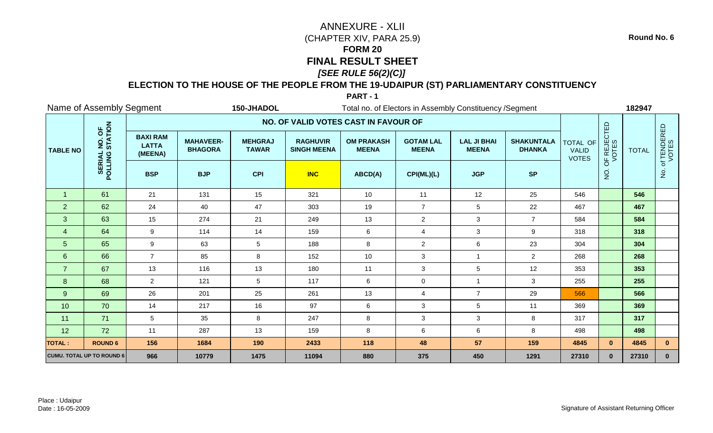## **ELECTION TO THE HOUSE OF THE PEOPLE FROM THE 19-UDAIPUR (ST) PARLIAMENTARY CONSTITUENCY**

**PART - 1**

|                 | Name of Assembly Segment<br>150-JHADOL<br>Total no. of Electors in Assembly Constituency / Segment |                                            |                                    |                                |                                       |                                   |                                  |                                    |                                    |                                          |                      | 182947       |                      |
|-----------------|----------------------------------------------------------------------------------------------------|--------------------------------------------|------------------------------------|--------------------------------|---------------------------------------|-----------------------------------|----------------------------------|------------------------------------|------------------------------------|------------------------------------------|----------------------|--------------|----------------------|
|                 |                                                                                                    |                                            |                                    |                                | NO. OF VALID VOTES CAST IN FAVOUR OF  |                                   |                                  |                                    |                                    |                                          |                      |              |                      |
| <b>TABLE NO</b> | NO. OF<br>STATION                                                                                  | <b>BAXI RAM</b><br><b>LATTA</b><br>(MEENA) | <b>MAHAVEER-</b><br><b>BHAGORA</b> | <b>MEHGRAJ</b><br><b>TAWAR</b> | <b>RAGHUVIR</b><br><b>SINGH MEENA</b> | <b>OM PRAKASH</b><br><b>MEENA</b> | <b>GOTAM LAL</b><br><b>MEENA</b> | <b>LAL JI BHAI</b><br><b>MEENA</b> | <b>SHAKUNTALA</b><br><b>DHANKA</b> | TOTAL OF<br><b>VALID</b><br><b>VOTES</b> | OF REJECTED<br>VOTES | <b>TOTAL</b> | of TENDERED<br>VOTES |
|                 | POLLING                                                                                            | <b>BSP</b>                                 | <b>BJP</b>                         | <b>CPI</b>                     | <b>INC</b>                            | ABCD(A)                           | CPI(ML)(L)                       | <b>JGP</b>                         | <b>SP</b>                          |                                          | $\overline{5}$       |              | $\dot{q}$            |
| $\overline{1}$  | 61                                                                                                 | 21                                         | 131                                | 15                             | 321                                   | 10                                | 11                               | 12                                 | 25                                 | 546                                      |                      | 546          |                      |
| 2               | 62                                                                                                 | 24                                         | 40                                 | 47                             | 303                                   | 19                                | $\overline{7}$                   | $\sqrt{5}$                         | 22                                 | 467                                      |                      | 467          |                      |
| 3               | 63                                                                                                 | 15                                         | 274                                | 21                             | 249                                   | 13                                | $\overline{2}$                   | 3                                  | $\overline{7}$                     | 584                                      |                      | 584          |                      |
| $\overline{4}$  | 64                                                                                                 | 9                                          | 114                                | 14                             | 159                                   | 6                                 | $\overline{4}$                   | 3                                  | 9                                  | 318                                      |                      | 318          |                      |
| 5 <sub>5</sub>  | 65                                                                                                 | 9                                          | 63                                 | $5\phantom{.0}$                | 188                                   | 8                                 | $\overline{2}$                   | $\,6\,$                            | 23                                 | 304                                      |                      | 304          |                      |
| 6               | 66                                                                                                 | $\overline{7}$                             | 85                                 | 8                              | 152                                   | 10                                | $\mathbf{3}$                     | $\overline{1}$                     | $\overline{2}$                     | 268                                      |                      | 268          |                      |
| $\overline{7}$  | 67                                                                                                 | 13                                         | 116                                | 13                             | 180                                   | 11                                | $\mathbf{3}$                     | $\overline{5}$                     | 12                                 | 353                                      |                      | 353          |                      |
| 8               | 68                                                                                                 | $\overline{2}$                             | 121                                | 5                              | 117                                   | 6                                 | $\mathbf 0$                      |                                    | 3                                  | 255                                      |                      | 255          |                      |
| 9               | 69                                                                                                 | 26                                         | 201                                | 25                             | 261                                   | 13                                | $\overline{4}$                   | $\overline{7}$                     | 29                                 | 566                                      |                      | 566          |                      |
| 10              | 70                                                                                                 | 14                                         | 217                                | 16                             | 97                                    | 6                                 | 3                                | 5                                  | 11                                 | 369                                      |                      | 369          |                      |
| 11              | 71                                                                                                 | $\sqrt{5}$                                 | 35                                 | 8                              | 247                                   | $\bf 8$                           | $\mathbf{3}$                     | 3                                  | 8                                  | 317                                      |                      | 317          |                      |
| 12              | 72                                                                                                 | 11                                         | 287                                | 13                             | 159                                   | $\bf 8$                           | $\,6\,$                          | $\,6$                              | 8                                  | 498                                      |                      | 498          |                      |
| <b>TOTAL:</b>   | <b>ROUND 6</b>                                                                                     | 156                                        | 1684                               | 190                            | 2433                                  | 118                               | 48                               | 57                                 | 159                                | 4845                                     | $\mathbf{0}$         | 4845         | $\mathbf{0}$         |
|                 | <b>CUMU. TOTAL UP TO ROUND 6</b>                                                                   | 966                                        | 10779                              | 1475                           | 11094                                 | 880                               | 375                              | 450                                | 1291                               | 27310                                    | $\mathbf{0}$         | 27310        | $\mathbf{0}$         |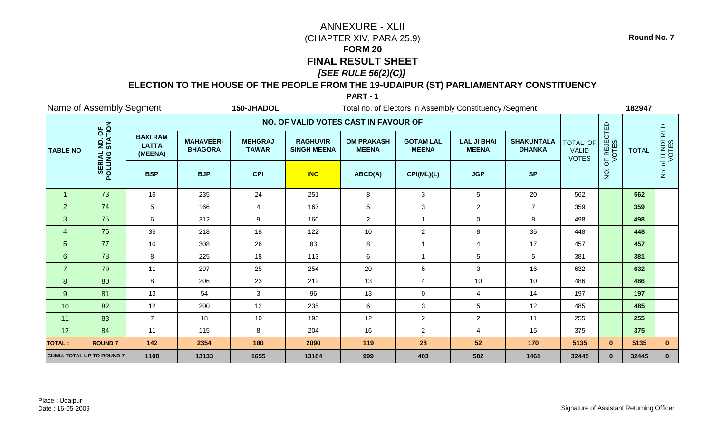## **ELECTION TO THE HOUSE OF THE PEOPLE FROM THE 19-UDAIPUR (ST) PARLIAMENTARY CONSTITUENCY**

**PART - 1**

|                 | Name of Assembly Segment<br>150-JHADOL<br>Total no. of Electors in Assembly Constituency / Segment |                                            |                                    |                                |                                       |                                   |                                  |                                    |                                    |                                          |                      | 182947       |                        |
|-----------------|----------------------------------------------------------------------------------------------------|--------------------------------------------|------------------------------------|--------------------------------|---------------------------------------|-----------------------------------|----------------------------------|------------------------------------|------------------------------------|------------------------------------------|----------------------|--------------|------------------------|
|                 |                                                                                                    |                                            |                                    |                                | NO. OF VALID VOTES CAST IN FAVOUR OF  |                                   |                                  |                                    |                                    |                                          |                      |              |                        |
| <b>TABLE NO</b> | NO. OF<br>STATION                                                                                  | <b>BAXI RAM</b><br><b>LATTA</b><br>(MEENA) | <b>MAHAVEER-</b><br><b>BHAGORA</b> | <b>MEHGRAJ</b><br><b>TAWAR</b> | <b>RAGHUVIR</b><br><b>SINGH MEENA</b> | <b>OM PRAKASH</b><br><b>MEENA</b> | <b>GOTAM LAL</b><br><b>MEENA</b> | <b>LAL JI BHAI</b><br><b>MEENA</b> | <b>SHAKUNTALA</b><br><b>DHANKA</b> | TOTAL OF<br><b>VALID</b><br><b>VOTES</b> | OF REJECTED<br>VOTES | <b>TOTAL</b> | . of TENDERED<br>VOTES |
|                 | POLLING                                                                                            | <b>BSP</b>                                 | <b>BJP</b>                         | <b>CPI</b>                     | <b>INC</b>                            | ABCD(A)                           | CPI(ML)(L)                       | <b>JGP</b>                         | <b>SP</b>                          |                                          | $\frac{1}{2}$        |              | $\frac{1}{2}$          |
| $\overline{1}$  | 73                                                                                                 | 16                                         | 235                                | 24                             | 251                                   | 8                                 | 3                                | 5                                  | 20                                 | 562                                      |                      | 562          |                        |
| $\overline{2}$  | 74                                                                                                 | 5                                          | 166                                | 4                              | 167                                   | $\,$ 5 $\,$                       | 3                                | $\overline{a}$                     | $\overline{7}$                     | 359                                      |                      | 359          |                        |
| 3               | 75                                                                                                 | 6                                          | 312                                | 9                              | 160                                   | $\overline{2}$                    | $\overline{1}$                   | $\mathbf 0$                        | 8                                  | 498                                      |                      | 498          |                        |
| $\overline{4}$  | 76                                                                                                 | 35                                         | 218                                | 18                             | 122                                   | 10                                | $\overline{2}$                   | 8                                  | 35                                 | 448                                      |                      | 448          |                        |
| 5 <sub>5</sub>  | 77                                                                                                 | 10                                         | 308                                | 26                             | 83                                    | 8                                 | $\overline{1}$                   | 4                                  | 17                                 | 457                                      |                      | 457          |                        |
| 6 <sup>°</sup>  | 78                                                                                                 | 8                                          | 225                                | 18                             | 113                                   | 6                                 | $\overline{\mathbf{1}}$          | $\sqrt{5}$                         | $\sqrt{5}$                         | 381                                      |                      | 381          |                        |
| $\overline{7}$  | 79                                                                                                 | 11                                         | 297                                | 25                             | 254                                   | 20                                | $\,6\,$                          | $\mathbf{3}$                       | 16                                 | 632                                      |                      | 632          |                        |
| 8               | 80                                                                                                 | 8                                          | 206                                | 23                             | 212                                   | 13                                | $\overline{4}$                   | 10                                 | 10                                 | 486                                      |                      | 486          |                        |
| 9               | 81                                                                                                 | 13                                         | 54                                 | 3                              | 96                                    | 13                                | $\mathbf 0$                      | $\overline{4}$                     | 14                                 | 197                                      |                      | 197          |                        |
| 10              | 82                                                                                                 | 12                                         | 200                                | 12                             | 235                                   | 6                                 | 3                                | 5                                  | 12                                 | 485                                      |                      | 485          |                        |
| 11              | 83                                                                                                 | $\overline{7}$                             | 18                                 | 10                             | 193                                   | 12                                | $\boldsymbol{2}$                 | $\overline{2}$                     | 11                                 | 255                                      |                      | 255          |                        |
| 12              | 84                                                                                                 | 11                                         | 115                                | 8                              | 204                                   | 16                                | $\overline{2}$                   | $\overline{4}$                     | 15                                 | 375                                      |                      | 375          |                        |
| <b>TOTAL:</b>   | <b>ROUND7</b>                                                                                      | 142                                        | 2354                               | 180                            | 2090                                  | 119                               | 28                               | 52                                 | 170                                | 5135                                     | $\mathbf{0}$         | 5135         | $\mathbf{0}$           |
|                 | <b>CUMU. TOTAL UP TO ROUND 7</b>                                                                   | 1108                                       | 13133                              | 1655                           | 13184                                 | 999                               | 403                              | 502                                | 1461                               | 32445                                    | $\mathbf{0}$         | 32445        | $\mathbf{0}$           |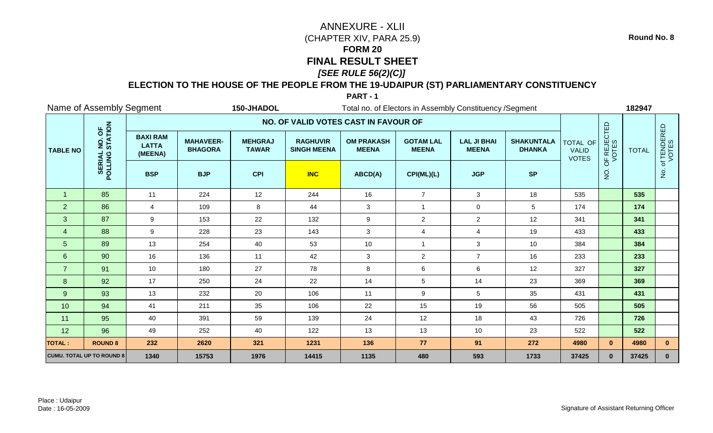## **ELECTION TO THE HOUSE OF THE PEOPLE FROM THE 19-UDAIPUR (ST) PARLIAMENTARY CONSTITUENCY**

**PART - 1**

|                 | Name of Assembly Segment<br>150-JHADOL<br>Total no. of Electors in Assembly Constituency / Segment |                                            |                                    |                                |                                       |                                   |                                  |                                    |                                    |                                          |                      | 182947       |                      |
|-----------------|----------------------------------------------------------------------------------------------------|--------------------------------------------|------------------------------------|--------------------------------|---------------------------------------|-----------------------------------|----------------------------------|------------------------------------|------------------------------------|------------------------------------------|----------------------|--------------|----------------------|
|                 |                                                                                                    |                                            |                                    |                                | NO. OF VALID VOTES CAST IN FAVOUR OF  |                                   |                                  |                                    |                                    |                                          |                      |              |                      |
| <b>TABLE NO</b> | NO. OF<br>STATION                                                                                  | <b>BAXI RAM</b><br><b>LATTA</b><br>(MEENA) | <b>MAHAVEER-</b><br><b>BHAGORA</b> | <b>MEHGRAJ</b><br><b>TAWAR</b> | <b>RAGHUVIR</b><br><b>SINGH MEENA</b> | <b>OM PRAKASH</b><br><b>MEENA</b> | <b>GOTAM LAL</b><br><b>MEENA</b> | <b>LAL JI BHAI</b><br><b>MEENA</b> | <b>SHAKUNTALA</b><br><b>DHANKA</b> | TOTAL OF<br><b>VALID</b><br><b>VOTES</b> | OF REJECTED<br>VOTES | <b>TOTAL</b> | of TENDERED<br>VOTES |
|                 | POLLING                                                                                            | <b>BSP</b>                                 | <b>BJP</b>                         | <b>CPI</b>                     | <b>INC</b>                            | ABCD(A)                           | CPI(ML)(L)                       | <b>JGP</b>                         | <b>SP</b>                          |                                          | $\frac{1}{2}$        |              | $\dot{q}$            |
| $\overline{1}$  | 85                                                                                                 | 11                                         | 224                                | 12                             | 244                                   | 16                                | $\overline{7}$                   | $\mathbf{3}$                       | 18                                 | 535                                      |                      | 535          |                      |
| 2               | 86                                                                                                 | 4                                          | 109                                | 8                              | 44                                    | 3                                 | $\overline{1}$                   | 0                                  | 5                                  | 174                                      |                      | 174          |                      |
| 3               | 87                                                                                                 | 9                                          | 153                                | 22                             | 132                                   | $\boldsymbol{9}$                  | $\overline{2}$                   | $\overline{2}$                     | 12                                 | 341                                      |                      | 341          |                      |
| $\overline{4}$  | 88                                                                                                 | 9                                          | 228                                | 23                             | 143                                   | 3                                 | $\overline{4}$                   | $\overline{4}$                     | 19                                 | 433                                      |                      | 433          |                      |
| 5 <sub>5</sub>  | 89                                                                                                 | 13                                         | 254                                | 40                             | 53                                    | 10                                | $\overline{1}$                   | 3                                  | 10                                 | 384                                      |                      | 384          |                      |
| $6\phantom{1}$  | 90                                                                                                 | 16                                         | 136                                | 11                             | 42                                    | $\sqrt{3}$                        | $\overline{2}$                   | $\overline{7}$                     | 16                                 | 233                                      |                      | 233          |                      |
| $\overline{7}$  | 91                                                                                                 | 10                                         | 180                                | 27                             | 78                                    | $\bf 8$                           | $\,6$                            | $\,6\,$                            | 12                                 | 327                                      |                      | 327          |                      |
| 8               | 92                                                                                                 | 17                                         | 250                                | 24                             | 22                                    | 14                                | $\sqrt{5}$                       | 14                                 | 23                                 | 369                                      |                      | 369          |                      |
| 9               | 93                                                                                                 | 13                                         | 232                                | 20                             | 106                                   | 11                                | 9                                | $\overline{5}$                     | 35                                 | 431                                      |                      | 431          |                      |
| 10              | 94                                                                                                 | 41                                         | 211                                | 35                             | 106                                   | 22                                | 15                               | 19                                 | 56                                 | 505                                      |                      | 505          |                      |
| 11              | 95                                                                                                 | 40                                         | 391                                | 59                             | 139                                   | 24                                | 12                               | 18                                 | 43                                 | 726                                      |                      | 726          |                      |
| 12              | 96                                                                                                 | 49                                         | 252                                | 40                             | 122                                   | 13                                | 13                               | 10                                 | 23                                 | 522                                      |                      | 522          |                      |
| <b>TOTAL:</b>   | <b>ROUND 8</b>                                                                                     | 232                                        | 2620                               | 321                            | 1231                                  | 136                               | 77                               | 91                                 | 272                                | 4980                                     | $\mathbf{0}$         | 4980         | $\mathbf{0}$         |
|                 | <b>CUMU. TOTAL UP TO ROUND 8</b>                                                                   | 1340                                       | 15753                              | 1976                           | 14415                                 | 1135                              | 480                              | 593                                | 1733                               | 37425                                    | $\mathbf{0}$         | 37425        | $\bf{0}$             |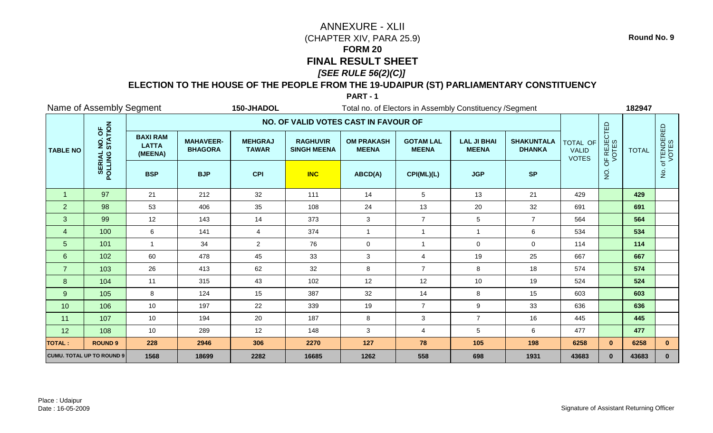## **ELECTION TO THE HOUSE OF THE PEOPLE FROM THE 19-UDAIPUR (ST) PARLIAMENTARY CONSTITUENCY**

**PART - 1**

|                  | Name of Assembly Segment<br>150-JHADOL<br>Total no. of Electors in Assembly Constituency / Segment |                                            |                                    |                                |                                       |                                   |                                  |                                    |                                    |                                          |                      | 182947       |                      |
|------------------|----------------------------------------------------------------------------------------------------|--------------------------------------------|------------------------------------|--------------------------------|---------------------------------------|-----------------------------------|----------------------------------|------------------------------------|------------------------------------|------------------------------------------|----------------------|--------------|----------------------|
|                  |                                                                                                    |                                            |                                    |                                | NO. OF VALID VOTES CAST IN FAVOUR OF  |                                   |                                  |                                    |                                    |                                          |                      |              |                      |
| <b>TABLE NO</b>  | NO. OF<br>STATION                                                                                  | <b>BAXI RAM</b><br><b>LATTA</b><br>(MEENA) | <b>MAHAVEER-</b><br><b>BHAGORA</b> | <b>MEHGRAJ</b><br><b>TAWAR</b> | <b>RAGHUVIR</b><br><b>SINGH MEENA</b> | <b>OM PRAKASH</b><br><b>MEENA</b> | <b>GOTAM LAL</b><br><b>MEENA</b> | <b>LAL JI BHAI</b><br><b>MEENA</b> | <b>SHAKUNTALA</b><br><b>DHANKA</b> | TOTAL OF<br><b>VALID</b><br><b>VOTES</b> | OF REJECTED<br>VOTES | <b>TOTAL</b> | of TENDERED<br>VOTES |
|                  | POLLING                                                                                            | <b>BSP</b>                                 | <b>BJP</b>                         | <b>CPI</b>                     | <b>INC</b>                            | ABCD(A)                           | CPI(ML)(L)                       | <b>JGP</b>                         | <b>SP</b>                          |                                          | $\overline{5}$       |              | δ.                   |
| $\mathbf 1$      | 97                                                                                                 | 21                                         | 212                                | 32                             | 111                                   | 14                                | 5                                | 13                                 | 21                                 | 429                                      |                      | 429          |                      |
| 2                | 98                                                                                                 | 53                                         | 406                                | 35                             | 108                                   | 24                                | 13                               | 20                                 | 32                                 | 691                                      |                      | 691          |                      |
| 3                | 99                                                                                                 | 12                                         | 143                                | 14                             | 373                                   | 3                                 | $\overline{7}$                   | $\sqrt{5}$                         | $\overline{7}$                     | 564                                      |                      | 564          |                      |
| $\overline{4}$   | 100                                                                                                | 6                                          | 141                                | 4                              | 374                                   | $\mathbf{1}$                      | $\overline{1}$                   |                                    | $\,6\,$                            | 534                                      |                      | 534          |                      |
| 5 <sup>5</sup>   | 101                                                                                                | $\mathbf{1}$                               | 34                                 | $\overline{2}$                 | 76                                    | $\mathbf 0$                       | $\overline{1}$                   | $\mathbf 0$                        | $\mathbf 0$                        | 114                                      |                      | 114          |                      |
| $6 \overline{6}$ | 102                                                                                                | 60                                         | 478                                | 45                             | 33                                    | 3                                 | $\overline{4}$                   | 19                                 | 25                                 | 667                                      |                      | 667          |                      |
| $\overline{7}$   | 103                                                                                                | 26                                         | 413                                | 62                             | 32                                    | $\bf 8$                           | $\overline{7}$                   | 8                                  | 18                                 | 574                                      |                      | 574          |                      |
| 8                | 104                                                                                                | 11                                         | 315                                | 43                             | 102                                   | 12                                | 12                               | 10                                 | 19                                 | 524                                      |                      | 524          |                      |
| 9                | 105                                                                                                | 8                                          | 124                                | 15                             | 387                                   | 32                                | 14                               | 8                                  | 15                                 | 603                                      |                      | 603          |                      |
| 10               | 106                                                                                                | 10                                         | 197                                | 22                             | 339                                   | 19                                | $\overline{7}$                   | $\boldsymbol{9}$                   | 33                                 | 636                                      |                      | 636          |                      |
| 11               | 107                                                                                                | 10                                         | 194                                | 20                             | 187                                   | $\bf 8$                           | $\mathbf{3}$                     | $\overline{7}$                     | 16                                 | 445                                      |                      | 445          |                      |
| 12               | 108                                                                                                | 10                                         | 289                                | 12                             | 148                                   | $\sqrt{3}$                        | $\overline{4}$                   | $\sqrt{5}$                         | $\,6\,$                            | 477                                      |                      | 477          |                      |
| <b>TOTAL:</b>    | <b>ROUND 9</b>                                                                                     | 228                                        | 2946                               | 306                            | 2270                                  | 127                               | 78                               | 105                                | 198                                | 6258                                     | $\mathbf{0}$         | 6258         | $\mathbf{0}$         |
|                  | <b>CUMU. TOTAL UP TO ROUND 9</b>                                                                   | 1568                                       | 18699                              | 2282                           | 16685                                 | 1262                              | 558                              | 698                                | 1931                               | 43683                                    | $\mathbf{0}$         | 43683        | $\mathbf{0}$         |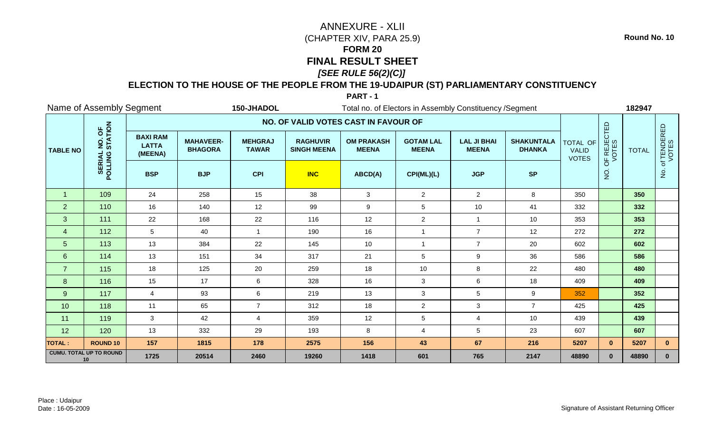## **ELECTION TO THE HOUSE OF THE PEOPLE FROM THE 19-UDAIPUR (ST) PARLIAMENTARY CONSTITUENCY**

### **PART - 1**

|                      | Name of Assembly Segment             |                                            |                                    | 150-JHADOL                     |                                       | Total no. of Electors in Assembly Constituency / Segment |                                  |                                    |                                    |                                                 |                      | 182947       |                        |
|----------------------|--------------------------------------|--------------------------------------------|------------------------------------|--------------------------------|---------------------------------------|----------------------------------------------------------|----------------------------------|------------------------------------|------------------------------------|-------------------------------------------------|----------------------|--------------|------------------------|
|                      |                                      |                                            |                                    |                                | NO. OF VALID VOTES CAST IN FAVOUR OF  |                                                          |                                  |                                    |                                    |                                                 |                      |              |                        |
| <b>TABLE NO</b>      | NO. OF<br>STATION                    | <b>BAXI RAM</b><br><b>LATTA</b><br>(MEENA) | <b>MAHAVEER-</b><br><b>BHAGORA</b> | <b>MEHGRAJ</b><br><b>TAWAR</b> | <b>RAGHUVIR</b><br><b>SINGH MEENA</b> | <b>OM PRAKASH</b><br><b>MEENA</b>                        | <b>GOTAM LAL</b><br><b>MEENA</b> | <b>LAL JI BHAI</b><br><b>MEENA</b> | <b>SHAKUNTALA</b><br><b>DHANKA</b> | <b>TOTAL OF</b><br><b>VALID</b><br><b>VOTES</b> | OF REJECTED<br>VOTES | <b>TOTAL</b> | . of TENDERED<br>VOTES |
|                      | POLLING                              | <b>BSP</b>                                 | <b>BJP</b>                         | <b>CPI</b>                     | <b>INC</b>                            | ABCD(A)                                                  | CPI(ML)(L)                       | <b>JGP</b>                         | <b>SP</b>                          |                                                 | $\rm \dot{Q}$        |              | ġ.                     |
| $\blacktriangleleft$ | 109                                  | 24                                         | 258                                | 15                             | 38                                    | 3                                                        | $\overline{2}$                   | $\overline{2}$                     | 8                                  | 350                                             |                      | 350          |                        |
| 2                    | 110                                  | 16                                         | 140                                | 12                             | 99                                    | $\boldsymbol{9}$                                         | $\overline{5}$                   | 10                                 | 41                                 | 332                                             |                      | 332          |                        |
| 3                    | 111                                  | 22                                         | 168                                | 22                             | 116                                   | 12                                                       | $\overline{2}$                   | $\overline{1}$                     | 10                                 | 353                                             |                      | 353          |                        |
| $\overline{4}$       | 112                                  | 5                                          | 40                                 |                                | 190                                   | 16                                                       | $\overline{\mathbf{1}}$          | $\overline{7}$                     | 12                                 | 272                                             |                      | 272          |                        |
| $5\phantom{.}$       | 113                                  | 13                                         | 384                                | 22                             | 145                                   | 10                                                       | $\overline{1}$                   | $\overline{7}$                     | 20                                 | 602                                             |                      | 602          |                        |
| $6\phantom{1}$       | 114                                  | 13                                         | 151                                | 34                             | 317                                   | 21                                                       | 5                                | 9                                  | 36                                 | 586                                             |                      | 586          |                        |
| $\overline{7}$       | 115                                  | 18                                         | 125                                | 20                             | 259                                   | 18                                                       | 10                               | $\,8\,$                            | 22                                 | 480                                             |                      | 480          |                        |
| 8                    | 116                                  | 15                                         | 17                                 | 6                              | 328                                   | 16                                                       | 3                                | $\,6$                              | 18                                 | 409                                             |                      | 409          |                        |
| 9                    | 117                                  | 4                                          | 93                                 | 6                              | 219                                   | 13                                                       | $\mathbf{3}$                     | $\sqrt{5}$                         | $\boldsymbol{9}$                   | 352                                             |                      | 352          |                        |
| 10                   | 118                                  | 11                                         | 65                                 | $\overline{7}$                 | 312                                   | 18                                                       | $\overline{2}$                   | 3                                  | $\overline{7}$                     | 425                                             |                      | 425          |                        |
| 11                   | 119                                  | 3                                          | 42                                 | $\overline{4}$                 | 359                                   | 12                                                       | $\sqrt{5}$                       | $\overline{4}$                     | 10                                 | 439                                             |                      | 439          |                        |
| 12                   | 120                                  | 13                                         | 332                                | 29                             | 193                                   | 8                                                        | $\overline{4}$                   | 5                                  | 23                                 | 607                                             |                      | 607          |                        |
| <b>TOTAL:</b>        | <b>ROUND 10</b>                      | 157                                        | 1815                               | 178                            | 2575                                  | 156                                                      | 43                               | 67                                 | 216                                | 5207                                            | $\mathbf{0}$         | 5207         | $\mathbf{0}$           |
|                      | <b>CUMU. TOTAL UP TO ROUND</b><br>10 | 1725                                       | 20514                              | 2460                           | 19260                                 | 1418                                                     | 601                              | 765                                | 2147                               | 48890                                           | $\mathbf{0}$         | 48890        | $\mathbf{0}$           |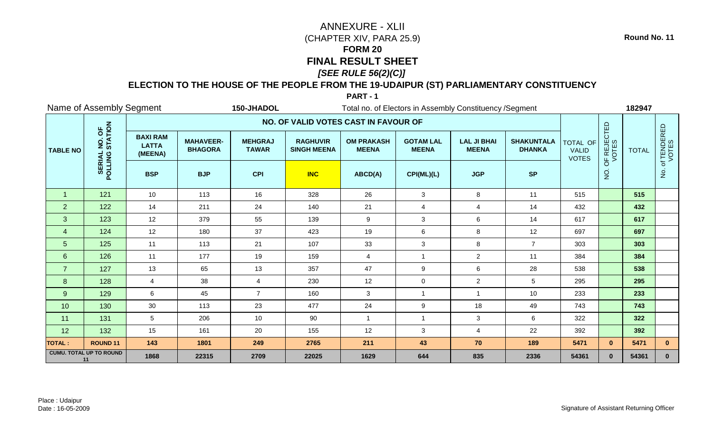## **ELECTION TO THE HOUSE OF THE PEOPLE FROM THE 19-UDAIPUR (ST) PARLIAMENTARY CONSTITUENCY**

### **PART - 1**

|                 | Name of Assembly Segment             |                                            |                                                                                                                                      | 150-JHADOL                     |                                       | Total no. of Electors in Assembly Constituency / Segment |                                  |                                    |                                    |                                                 |                      | 182947       |                                       |
|-----------------|--------------------------------------|--------------------------------------------|--------------------------------------------------------------------------------------------------------------------------------------|--------------------------------|---------------------------------------|----------------------------------------------------------|----------------------------------|------------------------------------|------------------------------------|-------------------------------------------------|----------------------|--------------|---------------------------------------|
|                 |                                      |                                            |                                                                                                                                      |                                | NO. OF VALID VOTES CAST IN FAVOUR OF  |                                                          |                                  |                                    |                                    |                                                 |                      |              |                                       |
| <b>TABLE NO</b> | NO. OF<br>STATION                    | <b>BAXI RAM</b><br><b>LATTA</b><br>(MEENA) | <b>MAHAVEER-</b><br><b>BHAGORA</b>                                                                                                   | <b>MEHGRAJ</b><br><b>TAWAR</b> | <b>RAGHUVIR</b><br><b>SINGH MEENA</b> | <b>OM PRAKASH</b><br><b>MEENA</b>                        | <b>GOTAM LAL</b><br><b>MEENA</b> | <b>LAL JI BHAI</b><br><b>MEENA</b> | <b>SHAKUNTALA</b><br><b>DHANKA</b> | <b>TOTAL OF</b><br><b>VALID</b><br><b>VOTES</b> | OF REJECTED<br>VOTES | <b>TOTAL</b> | . of TENDERED<br>VOTES                |
|                 | POLLING                              | <b>BSP</b>                                 | <b>BJP</b><br><b>CPI</b><br><b>INC</b><br><b>JGP</b><br><b>SP</b><br>ABCD(A)<br>CPI(ML)(L)<br>10<br>113<br>16<br>328<br>26<br>8<br>3 |                                |                                       |                                                          |                                  |                                    |                                    |                                                 |                      |              | $\frac{\dot{\mathsf{S}}}{\mathsf{Z}}$ |
| $\overline{1}$  | 121                                  |                                            |                                                                                                                                      |                                |                                       |                                                          |                                  |                                    | 11                                 | 515                                             |                      | 515          |                                       |
| 2               | 122                                  | 14                                         | 211                                                                                                                                  | 24                             | 140                                   | 21                                                       | $\overline{4}$                   | $\overline{4}$                     | 14                                 | 432                                             |                      | 432          |                                       |
| 3               | 123                                  | 12                                         | 379                                                                                                                                  | 55                             | 139                                   | $\boldsymbol{9}$                                         | $\mathbf{3}$                     | $\,6\,$                            | 14                                 | 617                                             |                      | 617          |                                       |
| $\overline{4}$  | 124                                  | 12                                         | 180                                                                                                                                  | 37                             | 423                                   | 19                                                       | $\,6$                            | 8                                  | 12                                 | 697                                             |                      | 697          |                                       |
| 5               | 125                                  | 11                                         | 113                                                                                                                                  | 21                             | 107                                   | 33                                                       | $\mathbf{3}$                     | $\,8\,$                            | $\overline{7}$                     | 303                                             |                      | 303          |                                       |
| 6               | 126                                  | 11                                         | 177                                                                                                                                  | 19                             | 159                                   | 4                                                        | -1                               | $\overline{a}$                     | 11                                 | 384                                             |                      | 384          |                                       |
| $\overline{7}$  | 127                                  | 13                                         | 65                                                                                                                                   | 13                             | 357                                   | 47                                                       | $\boldsymbol{9}$                 | $\,6\,$                            | 28                                 | 538                                             |                      | 538          |                                       |
| 8               | 128                                  | 4                                          | 38                                                                                                                                   | $\overline{4}$                 | 230                                   | 12                                                       | $\mathbf 0$                      | $\overline{a}$                     | $\sqrt{5}$                         | 295                                             |                      | 295          |                                       |
| 9               | 129                                  | 6                                          | 45                                                                                                                                   | $\overline{7}$                 | 160                                   | $\mathbf{3}$                                             | $\overline{1}$                   |                                    | 10                                 | 233                                             |                      | 233          |                                       |
| 10              | 130                                  | $30\,$                                     | 113                                                                                                                                  | 23                             | 477                                   | 24                                                       | $\boldsymbol{9}$                 | 18                                 | 49                                 | 743                                             |                      | 743          |                                       |
| 11              | 131                                  | 5                                          | 206                                                                                                                                  | 10                             | 90                                    | $\mathbf{1}$                                             | $\overline{1}$                   | 3                                  | 6                                  | 322                                             |                      | 322          |                                       |
| 12              | 132                                  | 15                                         | 161                                                                                                                                  | 20                             | 155                                   | 12                                                       | $\mathbf{3}$                     | $\overline{4}$                     | 22                                 | 392                                             |                      | 392          |                                       |
| <b>TOTAL:</b>   | <b>ROUND 11</b>                      | 143                                        | 1801                                                                                                                                 | 249                            | 2765                                  | 211                                                      | 43                               | 70                                 | 189                                | 5471                                            | $\mathbf{0}$         | 5471         | $\mathbf{0}$                          |
|                 | <b>CUMU. TOTAL UP TO ROUND</b><br>11 | 1868                                       | 22315                                                                                                                                | 2709                           | 22025                                 | 1629                                                     | 644                              | 835                                | 2336                               | 54361                                           | $\mathbf{0}$         | 54361        | $\mathbf{0}$                          |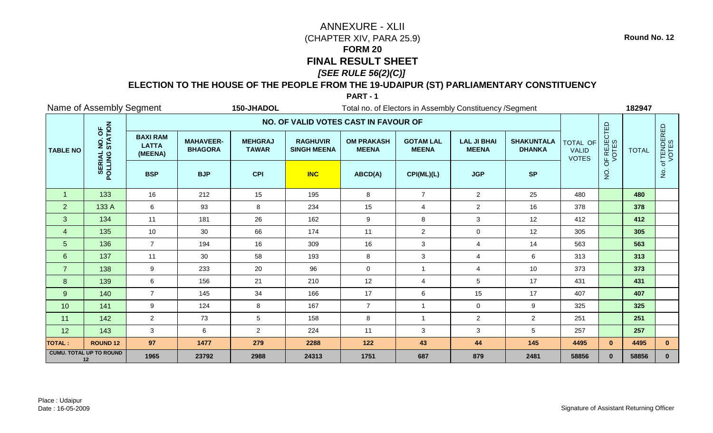## **ELECTION TO THE HOUSE OF THE PEOPLE FROM THE 19-UDAIPUR (ST) PARLIAMENTARY CONSTITUENCY**

**PART - 1**

|                 | Name of Assembly Segment<br>150-JHADOL<br>Total no. of Electors in Assembly Constituency / Segment |                                            |                                    |                                |                                       |                                   |                                  |                                    |                                    |                                          |                      | 182947       |                      |
|-----------------|----------------------------------------------------------------------------------------------------|--------------------------------------------|------------------------------------|--------------------------------|---------------------------------------|-----------------------------------|----------------------------------|------------------------------------|------------------------------------|------------------------------------------|----------------------|--------------|----------------------|
|                 |                                                                                                    |                                            |                                    |                                | NO. OF VALID VOTES CAST IN FAVOUR OF  |                                   |                                  |                                    |                                    |                                          |                      |              |                      |
| <b>TABLE NO</b> | NO. OF<br>STATION                                                                                  | <b>BAXI RAM</b><br><b>LATTA</b><br>(MEENA) | <b>MAHAVEER-</b><br><b>BHAGORA</b> | <b>MEHGRAJ</b><br><b>TAWAR</b> | <b>RAGHUVIR</b><br><b>SINGH MEENA</b> | <b>OM PRAKASH</b><br><b>MEENA</b> | <b>GOTAM LAL</b><br><b>MEENA</b> | <b>LAL JI BHAI</b><br><b>MEENA</b> | <b>SHAKUNTALA</b><br><b>DHANKA</b> | TOTAL OF<br><b>VALID</b><br><b>VOTES</b> | OF REJECTED<br>VOTES | <b>TOTAL</b> | of TENDERED<br>VOTES |
|                 | POLLING                                                                                            | <b>BSP</b>                                 | <b>BJP</b>                         | <b>CPI</b>                     | <b>INC</b>                            | ABCD(A)                           | CPI(ML)(L)                       | <b>JGP</b>                         | <b>SP</b>                          |                                          | $\overline{5}$       |              | $\dot{q}$            |
| $\mathbf{1}$    | 133                                                                                                | 16                                         | 212                                | 15                             | 195                                   | 8                                 | $\overline{7}$                   | $\overline{2}$                     | 25                                 | 480                                      |                      | 480          |                      |
| $\overline{2}$  | 133 A                                                                                              | 6                                          | 93                                 | 8                              | 234                                   | 15                                | $\overline{4}$                   | $\overline{2}$                     | 16                                 | 378                                      |                      | 378          |                      |
| $\mathbf{3}$    | 134                                                                                                | 11                                         | 181                                | 26                             | 162                                   | 9                                 | 8                                | 3                                  | 12                                 | 412                                      |                      | 412          |                      |
| $\overline{4}$  | 135                                                                                                | 10                                         | 30                                 | 66                             | 174                                   | 11                                | $\overline{2}$                   | $\mathbf 0$                        | 12                                 | 305                                      |                      | 305          |                      |
| 5 <sub>5</sub>  | 136                                                                                                | $\overline{7}$                             | 194                                | 16                             | 309                                   | 16                                | 3                                | $\overline{4}$                     | 14                                 | 563                                      |                      | 563          |                      |
| $6\phantom{1}$  | 137                                                                                                | 11                                         | 30                                 | 58                             | 193                                   | 8                                 | $\mathbf{3}$                     | $\overline{4}$                     | $\,6\,$                            | 313                                      |                      | 313          |                      |
| $\overline{7}$  | 138                                                                                                | 9                                          | 233                                | 20                             | 96                                    | $\mathbf 0$                       | $\overline{1}$                   | $\overline{4}$                     | 10                                 | 373                                      |                      | 373          |                      |
| 8               | 139                                                                                                | 6                                          | 156                                | 21                             | 210                                   | 12                                | $\overline{4}$                   | 5                                  | 17                                 | 431                                      |                      | 431          |                      |
| 9               | 140                                                                                                | $\overline{7}$                             | 145                                | 34                             | 166                                   | 17                                | 6                                | 15                                 | 17                                 | 407                                      |                      | 407          |                      |
| 10              | 141                                                                                                | 9                                          | 124                                | 8                              | 167                                   | $\overline{7}$                    | -1                               | $\mathbf 0$                        | 9                                  | 325                                      |                      | 325          |                      |
| 11              | 142                                                                                                | $\overline{2}$                             | 73                                 | 5                              | 158                                   | 8                                 | $\overline{1}$                   | $\overline{2}$                     | $\overline{2}$                     | 251                                      |                      | 251          |                      |
| 12              | 143                                                                                                | $\mathbf{3}$                               | $\,6$                              | $\overline{2}$                 | 224                                   | 11                                | $\mathbf{3}$                     | 3                                  | $\sqrt{5}$                         | 257                                      |                      | 257          |                      |
| <b>TOTAL:</b>   | <b>ROUND 12</b>                                                                                    | 97                                         | 1477                               | 279                            | 2288                                  | 122                               | 43                               | 44                                 | 145                                | 4495                                     | $\mathbf{0}$         | 4495         | $\mathbf{0}$         |
|                 | <b>CUMU. TOTAL UP TO ROUND</b><br>12                                                               | 1965                                       | 23792                              | 2988                           | 24313                                 | 1751                              | 687                              | 879                                | 2481                               | 58856                                    | $\mathbf{0}$         | 58856        | $\mathbf{0}$         |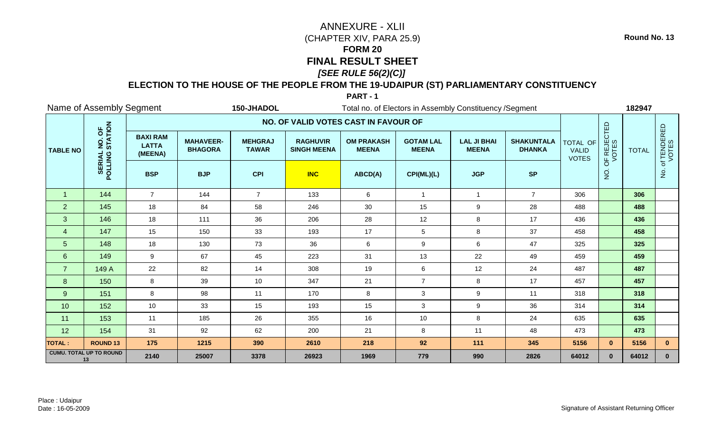## **ELECTION TO THE HOUSE OF THE PEOPLE FROM THE 19-UDAIPUR (ST) PARLIAMENTARY CONSTITUENCY**

#### **PART - 1**

| Name of Assembly Segment<br>150-JHADOL |                                      |                                            |                                    |                                |                                       | Total no. of Electors in Assembly Constituency / Segment |                                  |                                    |                                    |                                          |                      | 182947       |                        |  |  |
|----------------------------------------|--------------------------------------|--------------------------------------------|------------------------------------|--------------------------------|---------------------------------------|----------------------------------------------------------|----------------------------------|------------------------------------|------------------------------------|------------------------------------------|----------------------|--------------|------------------------|--|--|
|                                        |                                      |                                            |                                    |                                | NO. OF VALID VOTES CAST IN FAVOUR OF  |                                                          |                                  |                                    |                                    |                                          |                      |              |                        |  |  |
| <b>TABLE NO</b>                        | NO. OF<br>STATION                    | <b>BAXI RAM</b><br><b>LATTA</b><br>(MEENA) | <b>MAHAVEER-</b><br><b>BHAGORA</b> | <b>MEHGRAJ</b><br><b>TAWAR</b> | <b>RAGHUVIR</b><br><b>SINGH MEENA</b> | <b>OM PRAKASH</b><br><b>MEENA</b>                        | <b>GOTAM LAL</b><br><b>MEENA</b> | <b>LAL JI BHAI</b><br><b>MEENA</b> | <b>SHAKUNTALA</b><br><b>DHANKA</b> | TOTAL OF<br><b>VALID</b><br><b>VOTES</b> | OF REJECTED<br>VOTES | <b>TOTAL</b> | . of TENDERED<br>VOTES |  |  |
|                                        | POLLING                              | <b>BSP</b>                                 | <b>BJP</b>                         | <b>CPI</b>                     | <b>INC</b>                            | ABCD(A)                                                  | CPI(ML)(L)                       | <b>JGP</b>                         | <b>SP</b>                          |                                          | $\rm \dot{Q}$        |              | ġ.                     |  |  |
| $\overline{1}$                         | 144                                  | $\overline{7}$                             | 144                                | $\overline{7}$                 | 133                                   | 6                                                        | $\overline{1}$                   | $\overline{1}$                     | $\overline{7}$                     | 306                                      |                      | 306          |                        |  |  |
| 2                                      | 145                                  | 18                                         | 84                                 | 58                             | 246                                   | 30                                                       | 15                               | $\boldsymbol{9}$                   | 28                                 | 488                                      |                      | 488          |                        |  |  |
| 3                                      | 146                                  | 18                                         | 111                                | 36                             | 206                                   | 28                                                       | 12                               | $\bf 8$                            | 17                                 | 436                                      |                      | 436          |                        |  |  |
| $\overline{4}$                         | 147                                  | 15                                         | 150                                | 33                             | 193                                   | 17                                                       | 5                                | 8                                  | 37                                 | 458                                      |                      | 458          |                        |  |  |
| $5\phantom{.0}$                        | 148                                  | 18                                         | 130                                | 73                             | 36                                    | 6                                                        | $9\,$                            | $\,6\,$                            | 47                                 | 325                                      |                      | 325          |                        |  |  |
| 6                                      | 149                                  | 9                                          | 67                                 | 45                             | 223                                   | 31                                                       | 13                               | 22                                 | 49                                 | 459                                      |                      | 459          |                        |  |  |
| $\overline{7}$                         | 149 A                                | 22                                         | 82                                 | 14                             | 308                                   | 19                                                       | $\,6\,$                          | 12                                 | 24                                 | 487                                      |                      | 487          |                        |  |  |
| 8                                      | 150                                  | 8                                          | 39                                 | 10                             | 347                                   | 21                                                       | $\overline{7}$                   | 8                                  | 17                                 | 457                                      |                      | 457          |                        |  |  |
| 9                                      | 151                                  | 8                                          | 98                                 | 11                             | 170                                   | 8                                                        | $\mathbf{3}$                     | $\boldsymbol{9}$                   | 11                                 | 318                                      |                      | 318          |                        |  |  |
| 10                                     | 152                                  | 10                                         | 33                                 | 15                             | 193                                   | 15                                                       | 3                                | $\boldsymbol{9}$                   | 36                                 | 314                                      |                      | 314          |                        |  |  |
| 11                                     | 153                                  | 11                                         | 185                                | 26                             | 355                                   | 16                                                       | 10                               | 8                                  | 24                                 | 635                                      |                      | 635          |                        |  |  |
| 12                                     | 154                                  | 31                                         | 92                                 | 62                             | 200                                   | 21                                                       | 8                                | 11                                 | 48                                 | 473                                      |                      | 473          |                        |  |  |
| <b>TOTAL:</b>                          | <b>ROUND 13</b>                      | 175                                        | 1215                               | 390                            | 2610                                  | 218                                                      | 92                               | 111                                | 345                                | 5156                                     | $\mathbf{0}$         | 5156         | $\mathbf{0}$           |  |  |
|                                        | <b>CUMU. TOTAL UP TO ROUND</b><br>13 | 2140                                       | 25007                              | 3378                           | 26923                                 | 1969                                                     | 779                              | 990                                | 2826                               | 64012                                    | $\mathbf{0}$         | 64012        | $\mathbf{0}$           |  |  |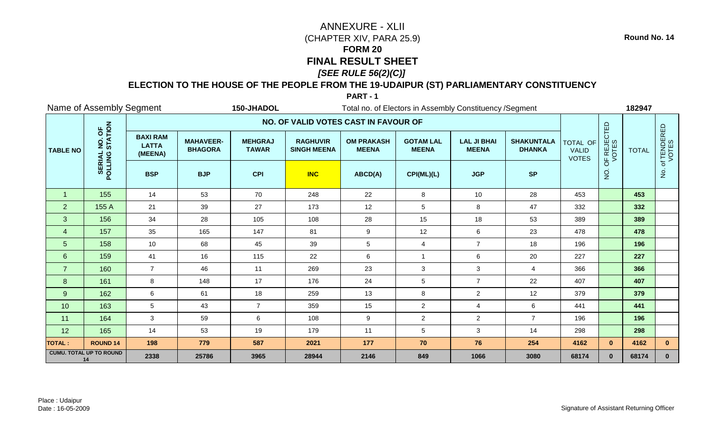## **ELECTION TO THE HOUSE OF THE PEOPLE FROM THE 19-UDAIPUR (ST) PARLIAMENTARY CONSTITUENCY**

#### **PART - 1**

|                 | Name of Assembly Segment             |                                            |                                    | 150-JHADOL<br>Total no. of Electors in Assembly Constituency / Segment |                                       |                                   |                                  |                                    |                                    |                                          |                      | 182947       |                      |  |
|-----------------|--------------------------------------|--------------------------------------------|------------------------------------|------------------------------------------------------------------------|---------------------------------------|-----------------------------------|----------------------------------|------------------------------------|------------------------------------|------------------------------------------|----------------------|--------------|----------------------|--|
|                 |                                      |                                            |                                    |                                                                        | NO. OF VALID VOTES CAST IN FAVOUR OF  |                                   |                                  |                                    |                                    |                                          |                      |              |                      |  |
| <b>TABLE NO</b> | NO. OF<br>STATION                    | <b>BAXI RAM</b><br><b>LATTA</b><br>(MEENA) | <b>MAHAVEER-</b><br><b>BHAGORA</b> | <b>MEHGRAJ</b><br><b>TAWAR</b>                                         | <b>RAGHUVIR</b><br><b>SINGH MEENA</b> | <b>OM PRAKASH</b><br><b>MEENA</b> | <b>GOTAM LAL</b><br><b>MEENA</b> | <b>LAL JI BHAI</b><br><b>MEENA</b> | <b>SHAKUNTALA</b><br><b>DHANKA</b> | TOTAL OF<br><b>VALID</b><br><b>VOTES</b> | OF REJECTED<br>VOTES | <b>TOTAL</b> | of TENDERED<br>VOTES |  |
|                 | POLLING                              | <b>BSP</b>                                 | <b>BJP</b>                         | <b>CPI</b>                                                             | <b>INC</b>                            | ABCD(A)                           | CPI(ML)(L)                       | <b>JGP</b>                         | <b>SP</b>                          |                                          | $\rm \dot{Q}$        |              | $\dot{q}$            |  |
| $\overline{1}$  | 155                                  | 14                                         | 53                                 | 70                                                                     | 248                                   | 22                                | 8                                | 10                                 | 28                                 | 453                                      |                      | 453          |                      |  |
| $\overline{2}$  | 155 A                                | 21                                         | 39                                 | 27                                                                     | 173                                   | 12                                | $\sqrt{5}$                       | 8                                  | 47                                 | 332                                      |                      | 332          |                      |  |
| $\mathbf{3}$    | 156                                  | 34                                         | 28                                 | 105                                                                    | 108                                   | 28                                | 15                               | 18                                 | 53                                 | 389                                      |                      | 389          |                      |  |
| $\overline{4}$  | 157                                  | 35                                         | 165                                | 147                                                                    | 81                                    | $\boldsymbol{9}$                  | 12                               | $\,6\,$                            | 23                                 | 478                                      |                      | 478          |                      |  |
| $5\phantom{.}$  | 158                                  | 10                                         | 68                                 | 45                                                                     | 39                                    | $5\phantom{.0}$                   | $\overline{4}$                   | $\overline{7}$                     | 18                                 | 196                                      |                      | 196          |                      |  |
| $6\overline{6}$ | 159                                  | 41                                         | 16                                 | 115                                                                    | 22                                    | 6                                 | -1                               | $\,6\,$                            | 20                                 | 227                                      |                      | 227          |                      |  |
| $\overline{7}$  | 160                                  | $\overline{7}$                             | 46                                 | 11                                                                     | 269                                   | 23                                | $\ensuremath{\mathsf{3}}$        | $\mathbf{3}$                       | $\overline{4}$                     | 366                                      |                      | 366          |                      |  |
| 8               | 161                                  | 8                                          | 148                                | 17                                                                     | 176                                   | 24                                | $\overline{5}$                   | $\overline{7}$                     | 22                                 | 407                                      |                      | 407          |                      |  |
| 9               | 162                                  | 6                                          | 61                                 | 18                                                                     | 259                                   | 13                                | 8                                | $\overline{c}$                     | 12                                 | 379                                      |                      | 379          |                      |  |
| 10              | 163                                  | 5                                          | 43                                 | $\overline{7}$                                                         | 359                                   | 15                                | $\overline{2}$                   | $\overline{4}$                     | $\,6\,$                            | 441                                      |                      | 441          |                      |  |
| 11              | 164                                  | 3                                          | 59                                 | $\,6\,$                                                                | 108                                   | 9                                 | $\overline{2}$                   | $\overline{2}$                     | $\overline{7}$                     | 196                                      |                      | 196          |                      |  |
| 12              | 165                                  | 14                                         | 53                                 | 19                                                                     | 179                                   | 11                                | $5\phantom{.0}$                  | 3                                  | 14                                 | 298                                      |                      | 298          |                      |  |
| <b>TOTAL:</b>   | <b>ROUND 14</b>                      | 198                                        | 779                                | 587                                                                    | 2021                                  | 177                               | 70                               | 76                                 | 254                                | 4162                                     | $\mathbf{0}$         | 4162         | $\mathbf{0}$         |  |
|                 | <b>CUMU. TOTAL UP TO ROUND</b><br>14 | 2338                                       | 25786                              | 3965                                                                   | 28944                                 | 2146                              | 849                              | 1066                               | 3080                               | 68174                                    | $\mathbf{0}$         | 68174        | $\bf{0}$             |  |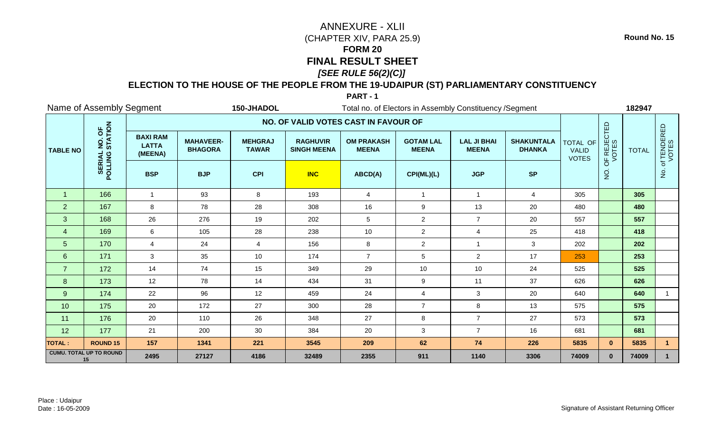## **ELECTION TO THE HOUSE OF THE PEOPLE FROM THE 19-UDAIPUR (ST) PARLIAMENTARY CONSTITUENCY**

### **PART - 1**

|                 | Name of Assembly Segment                     |                                            |                                    | 150-JHADOL<br>Total no. of Electors in Assembly Constituency / Segment |                                       |                                   |                                  |                                    |                                    |                                          |                      | 182947       |                        |
|-----------------|----------------------------------------------|--------------------------------------------|------------------------------------|------------------------------------------------------------------------|---------------------------------------|-----------------------------------|----------------------------------|------------------------------------|------------------------------------|------------------------------------------|----------------------|--------------|------------------------|
|                 |                                              |                                            |                                    |                                                                        | NO. OF VALID VOTES CAST IN FAVOUR OF  |                                   |                                  |                                    |                                    |                                          |                      |              |                        |
| <b>TABLE NO</b> | NO. OF<br>STATION                            | <b>BAXI RAM</b><br><b>LATTA</b><br>(MEENA) | <b>MAHAVEER-</b><br><b>BHAGORA</b> | <b>MEHGRAJ</b><br><b>TAWAR</b>                                         | <b>RAGHUVIR</b><br><b>SINGH MEENA</b> | <b>OM PRAKASH</b><br><b>MEENA</b> | <b>GOTAM LAL</b><br><b>MEENA</b> | <b>LAL JI BHAI</b><br><b>MEENA</b> | <b>SHAKUNTALA</b><br><b>DHANKA</b> | TOTAL OF<br><b>VALID</b><br><b>VOTES</b> | OF REJECTED<br>VOTES | <b>TOTAL</b> | . of TENDERED<br>VOTES |
|                 | POLLING                                      | <b>BSP</b>                                 | <b>BJP</b>                         | <b>CPI</b>                                                             | <b>INC</b>                            | ABCD(A)                           | CPI(ML)(L)                       | <b>JGP</b>                         | <b>SP</b>                          |                                          | $\rm \dot{Q}$        |              | ż                      |
| $\overline{1}$  | 166                                          | $\mathbf{1}$                               | 93                                 | 8                                                                      | 193                                   | 4                                 | $\mathbf{1}$                     | $\mathbf{1}$                       | $\overline{4}$                     | 305                                      |                      | 305          |                        |
| 2               | 167                                          | 8                                          | 78                                 | 28                                                                     | 308                                   | 16                                | 9                                | 13                                 | 20                                 | 480                                      |                      | 480          |                        |
| 3               | 168                                          | 26                                         | 276                                | 19                                                                     | 202                                   | 5                                 | $\overline{2}$                   | $\overline{7}$                     | 20                                 | 557                                      |                      | 557          |                        |
| $\overline{4}$  | 169                                          | 6                                          | 105                                | 28                                                                     | 238                                   | 10                                | $\overline{2}$                   | 4                                  | 25                                 | 418                                      |                      | 418          |                        |
| $5\phantom{.0}$ | 170                                          | 4                                          | 24                                 | $\overline{4}$                                                         | 156                                   | $\bf 8$                           | $\overline{2}$                   | $\mathbf{1}$                       | $\mathbf{3}$                       | 202                                      |                      | 202          |                        |
| 6               | 171                                          | 3                                          | 35                                 | 10                                                                     | 174                                   | $\overline{7}$                    | 5                                | $\overline{2}$                     | 17                                 | 253                                      |                      | 253          |                        |
| $\overline{7}$  | 172                                          | 14                                         | 74                                 | 15                                                                     | 349                                   | 29                                | 10                               | 10                                 | 24                                 | 525                                      |                      | 525          |                        |
| 8               | 173                                          | 12                                         | 78                                 | 14                                                                     | 434                                   | 31                                | 9                                | 11                                 | 37                                 | 626                                      |                      | 626          |                        |
| 9               | 174                                          | 22                                         | 96                                 | 12                                                                     | 459                                   | 24                                | $\overline{4}$                   | 3                                  | 20                                 | 640                                      |                      | 640          |                        |
| 10              | 175                                          | 20                                         | 172                                | 27                                                                     | 300                                   | 28                                | $\overline{7}$                   | 8                                  | 13                                 | 575                                      |                      | 575          |                        |
| 11              | 176                                          | 20                                         | 110                                | 26                                                                     | 348                                   | 27                                | 8                                | $\overline{7}$                     | 27                                 | 573                                      |                      | 573          |                        |
| 12              | 177                                          | 21                                         | 200                                | 30                                                                     | 384                                   | 20                                | 3                                | $\overline{7}$                     | 16                                 | 681                                      |                      | 681          |                        |
| <b>TOTAL:</b>   | <b>ROUND 15</b>                              | 157                                        | 1341                               | 221                                                                    | 3545                                  | 209                               | 62                               | 74                                 | 226                                | 5835                                     | $\mathbf{0}$         | 5835         | $\mathbf{1}$           |
|                 | <b>CUMU. TOTAL UP TO ROUND</b><br>2495<br>15 |                                            | 27127                              | 4186                                                                   | 32489                                 | 2355                              | 911                              | 1140                               | 3306                               | 74009                                    | $\mathbf{0}$         | 74009        |                        |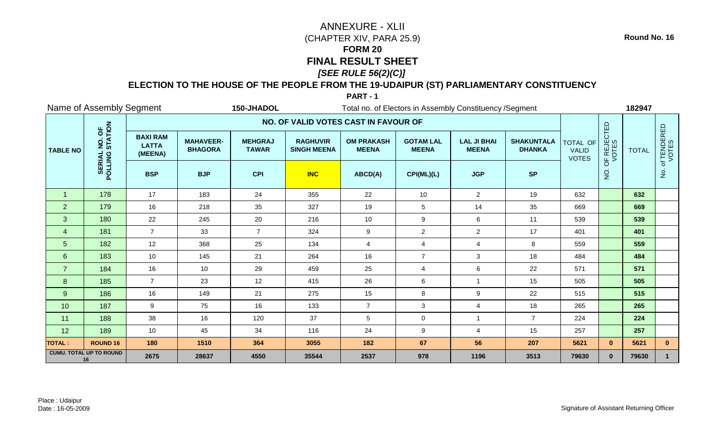## **ELECTION TO THE HOUSE OF THE PEOPLE FROM THE 19-UDAIPUR (ST) PARLIAMENTARY CONSTITUENCY**

### **PART - 1**

|                 | Name of Assembly Segment                     |                                            |                                    | 150-JHADOL<br>Total no. of Electors in Assembly Constituency / Segment |                                       |                                   |                                  |                                    |                                    |                                          |                      | 182947       |                        |
|-----------------|----------------------------------------------|--------------------------------------------|------------------------------------|------------------------------------------------------------------------|---------------------------------------|-----------------------------------|----------------------------------|------------------------------------|------------------------------------|------------------------------------------|----------------------|--------------|------------------------|
|                 |                                              |                                            |                                    |                                                                        | NO. OF VALID VOTES CAST IN FAVOUR OF  |                                   |                                  |                                    |                                    |                                          |                      |              |                        |
| <b>TABLE NO</b> | NO. OF<br>STATION                            | <b>BAXI RAM</b><br><b>LATTA</b><br>(MEENA) | <b>MAHAVEER-</b><br><b>BHAGORA</b> | <b>MEHGRAJ</b><br><b>TAWAR</b>                                         | <b>RAGHUVIR</b><br><b>SINGH MEENA</b> | <b>OM PRAKASH</b><br><b>MEENA</b> | <b>GOTAM LAL</b><br><b>MEENA</b> | <b>LAL JI BHAI</b><br><b>MEENA</b> | <b>SHAKUNTALA</b><br><b>DHANKA</b> | TOTAL OF<br><b>VALID</b><br><b>VOTES</b> | OF REJECTED<br>VOTES | <b>TOTAL</b> | . of TENDERED<br>VOTES |
|                 | POLLING                                      | <b>BSP</b>                                 | <b>BJP</b>                         | <b>CPI</b>                                                             | <b>INC</b>                            | ABCD(A)                           | CPI(ML)(L)                       | <b>JGP</b>                         | <b>SP</b>                          |                                          | $\rm \dot{Q}$        |              | ġ                      |
| $\overline{1}$  | 178                                          | 17                                         | 183                                | 24                                                                     | 355                                   | 22                                | 10                               | $\overline{2}$                     | 19                                 | 632                                      |                      | 632          |                        |
| 2               | 179                                          | 16                                         | 218                                | 35                                                                     | 327                                   | 19                                | 5                                | 14                                 | 35                                 | 669                                      |                      | 669          |                        |
| 3               | 180                                          | 22                                         | 245                                | 20                                                                     | 216                                   | 10                                | $\boldsymbol{9}$                 | 6                                  | 11                                 | 539                                      |                      | 539          |                        |
| $\overline{4}$  | 181                                          | $\overline{7}$                             | 33                                 | $\overline{7}$                                                         | 324                                   | 9                                 | $\overline{c}$                   | $\overline{2}$                     | 17                                 | 401                                      |                      | 401          |                        |
| 5               | 182                                          | 12                                         | 368                                | 25                                                                     | 134                                   | 4                                 | $\overline{4}$                   | 4                                  | 8                                  | 559                                      |                      | 559          |                        |
| $6\phantom{1}$  | 183                                          | 10                                         | 145                                | 21                                                                     | 264                                   | 16                                | $\overline{7}$                   | $\sqrt{3}$                         | 18                                 | 484                                      |                      | 484          |                        |
| $\overline{7}$  | 184                                          | 16                                         | 10                                 | 29                                                                     | 459                                   | 25                                | $\overline{\mathbf{4}}$          | 6                                  | 22                                 | 571                                      |                      | 571          |                        |
| 8               | 185                                          | $\overline{7}$                             | 23                                 | 12                                                                     | 415                                   | 26                                | 6                                | $\overline{1}$                     | 15                                 | 505                                      |                      | 505          |                        |
| 9               | 186                                          | 16                                         | 149                                | 21                                                                     | 275                                   | 15                                | 8                                | 9                                  | 22                                 | 515                                      |                      | 515          |                        |
| 10              | 187                                          | 9                                          | 75                                 | 16                                                                     | 133                                   | $\overline{7}$                    | 3                                | $\overline{4}$                     | 18                                 | 265                                      |                      | 265          |                        |
| 11              | 188                                          | 38                                         | 16                                 | 120                                                                    | 37                                    | $\sqrt{5}$                        | $\mathbf 0$                      | $\mathbf{1}$                       | $\overline{7}$                     | 224                                      |                      | 224          |                        |
| 12              | 189                                          | 10                                         | 45                                 | 34                                                                     | 116                                   | 24                                | 9                                | 4                                  | 15                                 | 257                                      |                      | 257          |                        |
| <b>TOTAL:</b>   | <b>ROUND 16</b>                              | 180                                        | 1510                               | 364                                                                    | 3055                                  | 182                               | 67                               | 56                                 | 207                                | 5621                                     | $\mathbf{0}$         | 5621         | $\mathbf{0}$           |
|                 | <b>CUMU. TOTAL UP TO ROUND</b><br>2675<br>16 |                                            | 28637                              | 4550                                                                   | 35544                                 | 2537                              | 978                              | 1196                               | 3513                               | 79630                                    | $\mathbf{0}$         | 79630        | $\mathbf 1$            |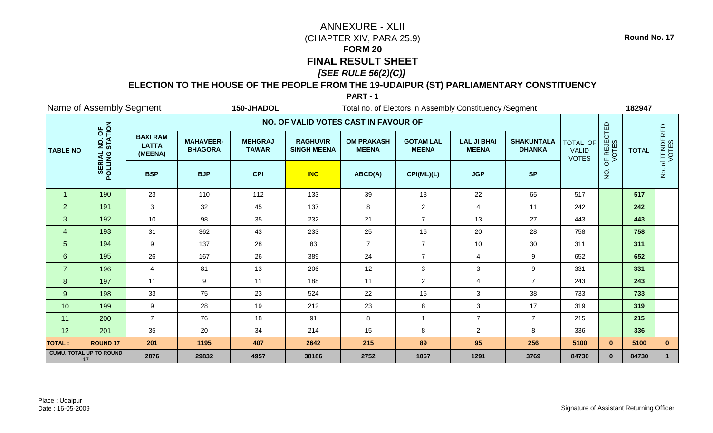## **ELECTION TO THE HOUSE OF THE PEOPLE FROM THE 19-UDAIPUR (ST) PARLIAMENTARY CONSTITUENCY**

### **PART - 1**

|                      | Name of Assembly Segment             |                                            |                                    | 150-JHADOL                     | Total no. of Electors in Assembly Constituency / Segment |                                   |                                  |                                    |                                    |                                          |                      | 182947       |                        |
|----------------------|--------------------------------------|--------------------------------------------|------------------------------------|--------------------------------|----------------------------------------------------------|-----------------------------------|----------------------------------|------------------------------------|------------------------------------|------------------------------------------|----------------------|--------------|------------------------|
|                      |                                      |                                            |                                    |                                | NO. OF VALID VOTES CAST IN FAVOUR OF                     |                                   |                                  |                                    |                                    |                                          |                      |              |                        |
| <b>TABLE NO</b>      | NO. OF<br>STATION                    | <b>BAXI RAM</b><br><b>LATTA</b><br>(MEENA) | <b>MAHAVEER-</b><br><b>BHAGORA</b> | <b>MEHGRAJ</b><br><b>TAWAR</b> | <b>RAGHUVIR</b><br><b>SINGH MEENA</b>                    | <b>OM PRAKASH</b><br><b>MEENA</b> | <b>GOTAM LAL</b><br><b>MEENA</b> | <b>LAL JI BHAI</b><br><b>MEENA</b> | <b>SHAKUNTALA</b><br><b>DHANKA</b> | TOTAL OF<br><b>VALID</b><br><b>VOTES</b> | OF REJECTED<br>VOTES | <b>TOTAL</b> | . of TENDERED<br>VOTES |
|                      | POLLING                              | <b>BSP</b>                                 | <b>BJP</b>                         | <b>CPI</b>                     | <b>INC</b>                                               | ABCD(A)                           | CPI(ML)(L)                       | <b>JGP</b>                         | <b>SP</b>                          |                                          | $\rm \dot{Q}$        |              | ġ.                     |
| $\blacktriangleleft$ | 190                                  | 23                                         | 110                                | 112                            | 133                                                      | 39                                | 13                               | 22                                 | 65                                 | 517                                      |                      | 517          |                        |
| 2                    | 191                                  | 3                                          | 32                                 | 45                             | 137                                                      | 8                                 | $\overline{2}$                   | $\overline{4}$                     | 11                                 | 242                                      |                      | 242          |                        |
| 3                    | 192                                  | 10                                         | 98                                 | 35                             | 232                                                      | 21                                | $\overline{7}$                   | 13                                 | 27                                 | 443                                      |                      | 443          |                        |
| $\overline{4}$       | 193                                  | 31                                         | 362                                | 43                             | 233                                                      | 25                                | 16                               | 20                                 | 28                                 | 758                                      |                      | 758          |                        |
| $5\phantom{.0}$      | 194                                  | $\boldsymbol{9}$                           | 137                                | 28                             | 83                                                       | $\overline{7}$                    | $\overline{7}$                   | 10                                 | 30                                 | 311                                      |                      | 311          |                        |
| $6\phantom{a}$       | 195                                  | 26                                         | 167                                | 26                             | 389                                                      | 24                                | $\overline{7}$                   | $\overline{4}$                     | 9                                  | 652                                      |                      | 652          |                        |
| $\overline{7}$       | 196                                  | $\overline{4}$                             | 81                                 | 13                             | 206                                                      | 12                                | $\mathbf{3}$                     | 3                                  | 9                                  | 331                                      |                      | 331          |                        |
| 8                    | 197                                  | 11                                         | 9                                  | 11                             | 188                                                      | 11                                | $\overline{2}$                   | 4                                  | $\overline{7}$                     | 243                                      |                      | 243          |                        |
| 9                    | 198                                  | 33                                         | 75                                 | 23                             | 524                                                      | 22                                | 15                               | $\mathfrak{Z}$                     | 38                                 | 733                                      |                      | 733          |                        |
| 10                   | 199                                  | 9                                          | 28                                 | 19                             | 212                                                      | 23                                | 8                                | $\mathbf{3}$                       | 17                                 | 319                                      |                      | 319          |                        |
| 11                   | 200                                  | $\overline{7}$                             | 76                                 | 18                             | 91                                                       | 8                                 | $\overline{1}$                   | $\overline{7}$                     | $\overline{7}$                     | 215                                      |                      | 215          |                        |
| 12                   | 201                                  | 35                                         | 20                                 | 34                             | 214                                                      | 15                                | 8                                | $\overline{2}$                     | 8                                  | 336                                      |                      | 336          |                        |
| <b>TOTAL:</b>        | <b>ROUND 17</b>                      | 201                                        | 1195                               | 407                            | 2642                                                     | 215                               | 89                               | 95                                 | 256                                | 5100                                     | $\mathbf{0}$         | 5100         | $\mathbf{0}$           |
|                      | <b>CUMU. TOTAL UP TO ROUND</b><br>17 | 2876                                       | 29832                              | 4957                           | 38186                                                    | 2752                              | 1067                             | 1291                               | 3769                               | 84730                                    | $\mathbf{0}$         | 84730        |                        |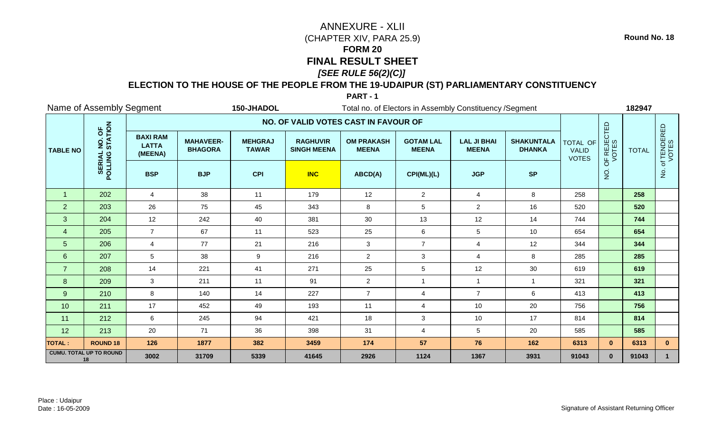## **ELECTION TO THE HOUSE OF THE PEOPLE FROM THE 19-UDAIPUR (ST) PARLIAMENTARY CONSTITUENCY**

### **PART - 1**

|                 | Name of Assembly Segment                     |                                            |                                    | 150-JHADOL<br>Total no. of Electors in Assembly Constituency / Segment |                                       |                                   |                                  |                                    |                                    |                                          |                      | 182947       |                        |  |
|-----------------|----------------------------------------------|--------------------------------------------|------------------------------------|------------------------------------------------------------------------|---------------------------------------|-----------------------------------|----------------------------------|------------------------------------|------------------------------------|------------------------------------------|----------------------|--------------|------------------------|--|
|                 |                                              |                                            |                                    |                                                                        | NO. OF VALID VOTES CAST IN FAVOUR OF  |                                   |                                  |                                    |                                    |                                          |                      |              |                        |  |
| <b>TABLE NO</b> | NO. OF<br>STATION                            | <b>BAXI RAM</b><br><b>LATTA</b><br>(MEENA) | <b>MAHAVEER-</b><br><b>BHAGORA</b> | <b>MEHGRAJ</b><br><b>TAWAR</b>                                         | <b>RAGHUVIR</b><br><b>SINGH MEENA</b> | <b>OM PRAKASH</b><br><b>MEENA</b> | <b>GOTAM LAL</b><br><b>MEENA</b> | <b>LAL JI BHAI</b><br><b>MEENA</b> | <b>SHAKUNTALA</b><br><b>DHANKA</b> | TOTAL OF<br><b>VALID</b><br><b>VOTES</b> | OF REJECTED<br>VOTES | <b>TOTAL</b> | . of TENDERED<br>VOTES |  |
|                 | POLLING                                      | <b>BSP</b>                                 | <b>BJP</b>                         | <b>CPI</b>                                                             | <b>INC</b>                            | ABCD(A)                           | CPI(ML)(L)                       | <b>JGP</b>                         | <b>SP</b>                          |                                          | $\rm \dot{Q}$        |              | ġ                      |  |
| $\overline{1}$  | 202                                          | $\overline{4}$                             | 38                                 | 11                                                                     | 179                                   | 12                                | $\overline{2}$                   | $\overline{4}$                     | 8                                  | 258                                      |                      | 258          |                        |  |
| 2               | 203                                          | 26                                         | 75                                 | 45                                                                     | 343                                   | 8                                 | 5                                | $\overline{2}$                     | 16                                 | 520                                      |                      | 520          |                        |  |
| 3               | 204                                          | 12                                         | 242                                | 40                                                                     | 381                                   | 30                                | 13                               | 12                                 | 14                                 | 744                                      |                      | 744          |                        |  |
| $\overline{4}$  | 205                                          | $\overline{7}$                             | 67                                 | 11                                                                     | 523                                   | 25                                | 6                                | 5                                  | 10                                 | 654                                      |                      | 654          |                        |  |
| 5               | 206                                          | 4                                          | 77                                 | 21                                                                     | 216                                   | $\mathbf{3}$                      | $\overline{7}$                   | 4                                  | 12                                 | 344                                      |                      | 344          |                        |  |
| 6               | 207                                          | 5                                          | 38                                 | $\boldsymbol{9}$                                                       | 216                                   | $\overline{2}$                    | 3                                | 4                                  | 8                                  | 285                                      |                      | 285          |                        |  |
| $\overline{7}$  | 208                                          | 14                                         | 221                                | 41                                                                     | 271                                   | 25                                | $\overline{5}$                   | 12                                 | $30\,$                             | 619                                      |                      | 619          |                        |  |
| 8               | 209                                          | 3                                          | 211                                | 11                                                                     | 91                                    | $\overline{2}$                    | $\overline{1}$                   | $\mathbf{1}$                       | $\overline{1}$                     | 321                                      |                      | 321          |                        |  |
| 9               | 210                                          | 8                                          | 140                                | 14                                                                     | 227                                   | $\overline{7}$                    | $\overline{4}$                   | $\overline{7}$                     | 6                                  | 413                                      |                      | 413          |                        |  |
| 10              | 211                                          | 17                                         | 452                                | 49                                                                     | 193                                   | 11                                | 4                                | 10                                 | 20                                 | 756                                      |                      | 756          |                        |  |
| 11              | 212                                          | 6                                          | 245                                | 94                                                                     | 421                                   | 18                                | 3                                | 10                                 | 17                                 | 814                                      |                      | 814          |                        |  |
| 12              | 213                                          | 20                                         | 71                                 | 36                                                                     | 398                                   | 31                                | $\overline{\mathbf{4}}$          | $5\phantom{.0}$                    | 20                                 | 585                                      |                      | 585          |                        |  |
| <b>TOTAL:</b>   | <b>ROUND 18</b>                              | 126                                        | 1877                               | 382                                                                    | 3459                                  | 174                               | 57                               | 76                                 | 162                                | 6313                                     | $\mathbf{0}$         | 6313         | $\mathbf{0}$           |  |
|                 | <b>CUMU. TOTAL UP TO ROUND</b><br>3002<br>18 |                                            | 31709                              | 5339                                                                   | 41645                                 | 2926                              | 1124                             | 1367                               | 3931                               | 91043                                    | $\mathbf{0}$         | 91043        | $\mathbf 1$            |  |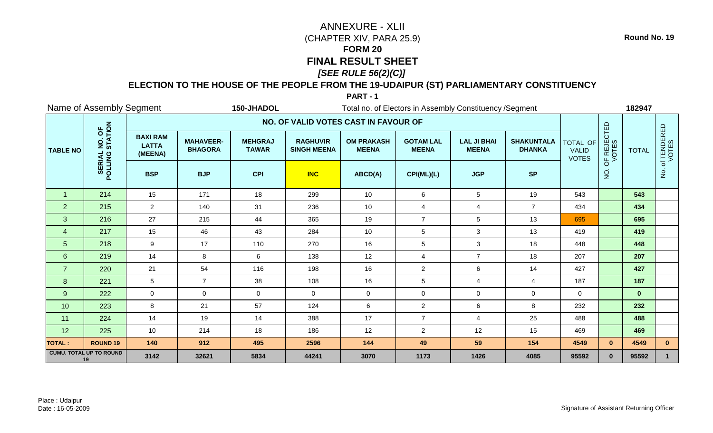## **ELECTION TO THE HOUSE OF THE PEOPLE FROM THE 19-UDAIPUR (ST) PARLIAMENTARY CONSTITUENCY**

### **PART - 1**

|                 | Name of Assembly Segment                              |                                            |                                    | 150-JHADOL                     | Total no. of Electors in Assembly Constituency / Segment |                                   |                                  |                                    |                                    |                                                 |                      | 182947       |                                       |
|-----------------|-------------------------------------------------------|--------------------------------------------|------------------------------------|--------------------------------|----------------------------------------------------------|-----------------------------------|----------------------------------|------------------------------------|------------------------------------|-------------------------------------------------|----------------------|--------------|---------------------------------------|
|                 |                                                       |                                            |                                    |                                | NO. OF VALID VOTES CAST IN FAVOUR OF                     |                                   |                                  |                                    |                                    |                                                 |                      |              |                                       |
| <b>TABLE NO</b> | NO. OF<br>STATION                                     | <b>BAXI RAM</b><br><b>LATTA</b><br>(MEENA) | <b>MAHAVEER-</b><br><b>BHAGORA</b> | <b>MEHGRAJ</b><br><b>TAWAR</b> | <b>RAGHUVIR</b><br><b>SINGH MEENA</b>                    | <b>OM PRAKASH</b><br><b>MEENA</b> | <b>GOTAM LAL</b><br><b>MEENA</b> | <b>LAL JI BHAI</b><br><b>MEENA</b> | <b>SHAKUNTALA</b><br><b>DHANKA</b> | <b>TOTAL OF</b><br><b>VALID</b><br><b>VOTES</b> | OF REJECTED<br>VOTES | <b>TOTAL</b> | . of TENDERED<br>VOTES                |
|                 | POLLING                                               | <b>BSP</b>                                 | <b>BJP</b>                         | <b>CPI</b>                     | <b>INC</b>                                               | ABCD(A)                           | CPI(ML)(L)                       | <b>JGP</b>                         | <b>SP</b>                          |                                                 | $\rm \dot{Q}$        |              | $\frac{\dot{\mathsf{S}}}{\mathsf{Z}}$ |
| $\overline{1}$  | 214                                                   | 15                                         | 171                                | 18                             | 299                                                      | 10                                | 6                                | $\overline{5}$                     | 19                                 | 543                                             |                      | 543          |                                       |
| 2               | 215                                                   | 2                                          | 140                                | 31                             | 236                                                      | 10                                | $\overline{4}$                   | $\overline{4}$                     | $\overline{7}$                     | 434                                             |                      | 434          |                                       |
| 3               | 216                                                   | 27                                         | 215                                | 44                             | 365                                                      | 19                                | $\overline{7}$                   | $\sqrt{5}$                         | 13                                 | 695                                             |                      | 695          |                                       |
| $\overline{4}$  | 217                                                   | 15                                         | 46                                 | 43                             | 284                                                      | 10                                | $\sqrt{5}$                       | 3                                  | 13                                 | 419                                             |                      | 419          |                                       |
| 5               | 218                                                   | 9                                          | 17                                 | 110                            | 270                                                      | 16                                | $\overline{5}$                   | $\mathfrak{Z}$                     | 18                                 | 448                                             |                      | 448          |                                       |
| 6               | 219                                                   | 14                                         | 8                                  | 6                              | 138                                                      | 12                                | $\overline{4}$                   | $\overline{7}$                     | 18                                 | 207                                             |                      | 207          |                                       |
| $\overline{7}$  | 220                                                   | 21                                         | 54                                 | 116                            | 198                                                      | 16                                | $\overline{c}$                   | $\,6\,$                            | 14                                 | 427                                             |                      | 427          |                                       |
| 8               | 221                                                   | 5                                          | $\overline{7}$                     | 38                             | 108                                                      | 16                                | $\overline{5}$                   | 4                                  | $\overline{4}$                     | 187                                             |                      | 187          |                                       |
| 9               | 222                                                   | 0                                          | $\mathbf 0$                        | $\mathbf 0$                    | $\Omega$                                                 | $\mathbf 0$                       | $\mathbf 0$                      | $\mathbf 0$                        | $\mathbf 0$                        | $\overline{0}$                                  |                      | $\mathbf{0}$ |                                       |
| 10              | 223                                                   | 8                                          | 21                                 | 57                             | 124                                                      | 6                                 | $\overline{2}$                   | $\,6\,$                            | 8                                  | 232                                             |                      | 232          |                                       |
| 11              | 224                                                   | 14                                         | 19                                 | 14                             | 388                                                      | 17                                | $\overline{7}$                   | $\overline{4}$                     | 25                                 | 488                                             |                      | 488          |                                       |
| 12              | 225                                                   | 10                                         | 214                                | 18                             | 186                                                      | 12                                | $\overline{2}$                   | 12                                 | 15                                 | 469                                             |                      | 469          |                                       |
| <b>TOTAL:</b>   | <b>ROUND 19</b>                                       | 140                                        | 912                                | 495                            | 2596                                                     | 144                               | 49                               | 59                                 | 154                                | 4549                                            | $\mathbf{0}$         | 4549         | $\mathbf{0}$                          |
|                 | <b>CUMU. TOTAL UP TO ROUND</b><br>3142<br>32621<br>19 |                                            |                                    | 5834                           | 44241                                                    | 3070                              | 1173                             | 1426                               | 4085                               | 95592                                           | $\bf{0}$             | 95592        |                                       |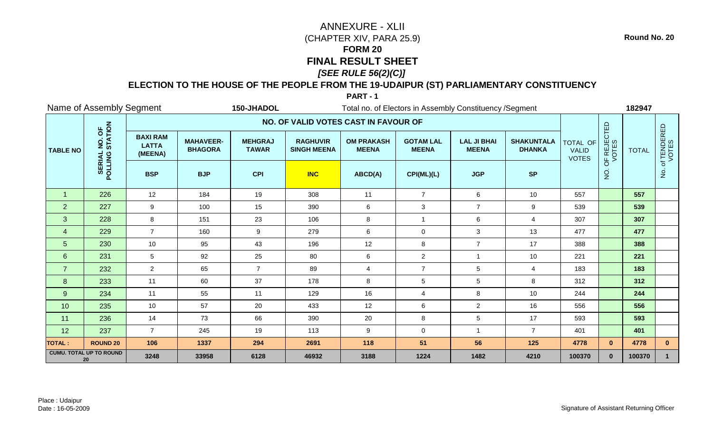## **ELECTION TO THE HOUSE OF THE PEOPLE FROM THE 19-UDAIPUR (ST) PARLIAMENTARY CONSTITUENCY**

#### **PART - 1**

|                 | Name of Assembly Segment                     |                                            |                                    | 150-JHADOL                     | Total no. of Electors in Assembly Constituency / Segment |                                   |                                  |                                    |                                    |                                                 |                      | 182947       |                                       |
|-----------------|----------------------------------------------|--------------------------------------------|------------------------------------|--------------------------------|----------------------------------------------------------|-----------------------------------|----------------------------------|------------------------------------|------------------------------------|-------------------------------------------------|----------------------|--------------|---------------------------------------|
|                 |                                              |                                            |                                    |                                | NO. OF VALID VOTES CAST IN FAVOUR OF                     |                                   |                                  |                                    |                                    |                                                 |                      |              |                                       |
| <b>TABLE NO</b> | NO. OF<br>STATION                            | <b>BAXI RAM</b><br><b>LATTA</b><br>(MEENA) | <b>MAHAVEER-</b><br><b>BHAGORA</b> | <b>MEHGRAJ</b><br><b>TAWAR</b> | <b>RAGHUVIR</b><br><b>SINGH MEENA</b>                    | <b>OM PRAKASH</b><br><b>MEENA</b> | <b>GOTAM LAL</b><br><b>MEENA</b> | <b>LAL JI BHAI</b><br><b>MEENA</b> | <b>SHAKUNTALA</b><br><b>DHANKA</b> | <b>TOTAL OF</b><br><b>VALID</b><br><b>VOTES</b> | OF REJECTED<br>VOTES | <b>TOTAL</b> | . of TENDERED<br>VOTES                |
|                 | POLLING                                      | <b>BSP</b>                                 | <b>BJP</b>                         | <b>CPI</b>                     | <b>INC</b>                                               | ABCD(A)                           | CPI(ML)(L)                       | <b>JGP</b>                         | <b>SP</b>                          |                                                 | $\rm \dot{Q}$        |              | $\frac{\dot{\mathsf{S}}}{\mathsf{Z}}$ |
| $\overline{1}$  | 226                                          | 12                                         | 184                                | 19                             | 308                                                      | 11                                | $\overline{7}$                   | 6                                  | 10                                 | 557                                             |                      | 557          |                                       |
| 2               | 227                                          | 9                                          | 100                                | 15                             | 390                                                      | 6                                 | 3                                | $\overline{7}$                     | 9                                  | 539                                             |                      | 539          |                                       |
| 3               | 228                                          | 8                                          | 151                                | 23                             | 106                                                      | $\bf 8$                           | $\overline{1}$                   | $\,6\,$                            | $\overline{4}$                     | 307                                             |                      | 307          |                                       |
| $\overline{4}$  | 229                                          | $\overline{7}$                             | 160                                | 9                              | 279                                                      | 6                                 | $\mathbf 0$                      | 3                                  | 13                                 | 477                                             |                      | 477          |                                       |
| 5               | 230                                          | 10                                         | 95                                 | 43                             | 196                                                      | 12                                | 8                                | $\overline{7}$                     | 17                                 | 388                                             |                      | 388          |                                       |
| 6               | 231                                          | 5                                          | 92                                 | 25                             | 80                                                       | 6                                 | $\overline{2}$                   |                                    | 10                                 | 221                                             |                      | 221          |                                       |
| $\overline{7}$  | 232                                          | $\overline{2}$                             | 65                                 | $\overline{7}$                 | 89                                                       | $\overline{4}$                    | $\overline{7}$                   | $\overline{5}$                     | $\overline{4}$                     | 183                                             |                      | 183          |                                       |
| 8               | 233                                          | 11                                         | 60                                 | 37                             | 178                                                      | $\bf 8$                           | $\overline{5}$                   | $\sqrt{5}$                         | 8                                  | 312                                             |                      | 312          |                                       |
| 9               | 234                                          | 11                                         | 55                                 | 11                             | 129                                                      | 16                                | $\overline{4}$                   | 8                                  | 10                                 | 244                                             |                      | 244          |                                       |
| 10              | 235                                          | 10                                         | 57                                 | 20                             | 433                                                      | 12                                | $\,6\,$                          | $\overline{2}$                     | 16                                 | 556                                             |                      | 556          |                                       |
| 11              | 236                                          | 14                                         | 73                                 | 66                             | 390                                                      | 20                                | 8                                | $\sqrt{5}$                         | 17                                 | 593                                             |                      | 593          |                                       |
| 12              | 237                                          | $\overline{7}$                             | 245                                | 19                             | 113                                                      | 9                                 | $\mathbf 0$                      | $\overline{1}$                     | $\overline{7}$                     | 401                                             |                      | 401          |                                       |
| <b>TOTAL:</b>   | <b>ROUND 20</b>                              | 106                                        | 1337                               | 294                            | 2691                                                     | 118                               | 51                               | 56                                 | 125                                | 4778                                            | $\mathbf{0}$         | 4778         | $\mathbf{0}$                          |
|                 | <b>CUMU. TOTAL UP TO ROUND</b><br>3248<br>20 |                                            | 33958                              | 6128                           | 46932                                                    | 3188                              | 1224                             | 1482                               | 4210                               | 100370                                          | $\mathbf{0}$         | 100370       |                                       |